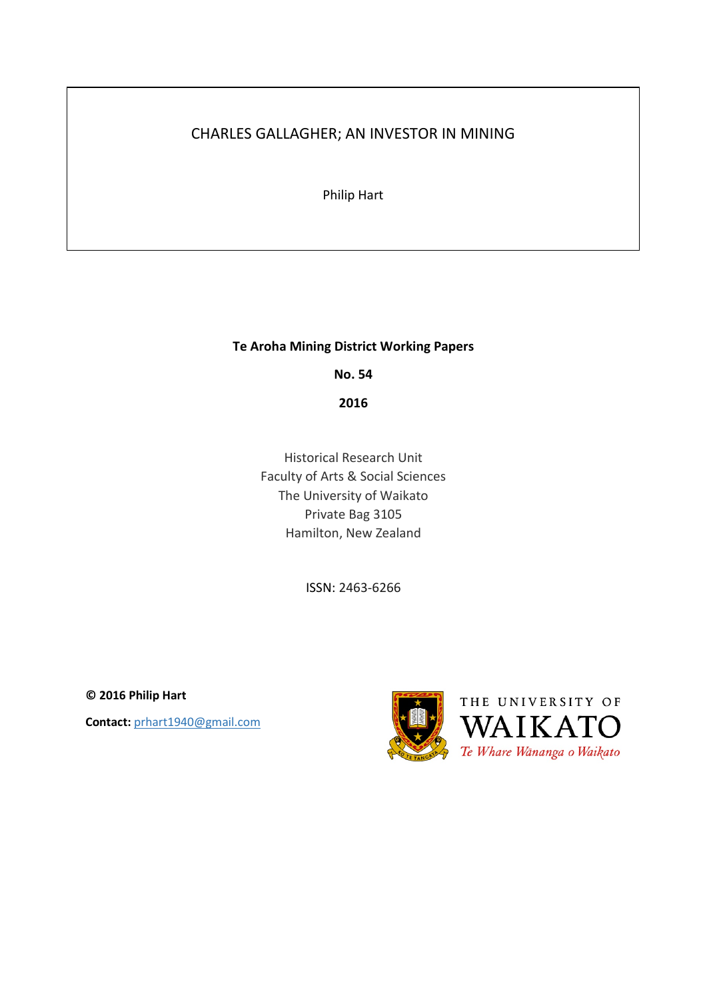# CHARLES GALLAGHER; AN INVESTOR IN MINING

Philip Hart

# **Te Aroha Mining District Working Papers**

**No. 54**

**2016**

Historical Research Unit Faculty of Arts & Social Sciences The University of Waikato Private Bag 3105 Hamilton, New Zealand

ISSN: 2463-6266

**© 2016 Philip Hart Contact:** prhart1940@gmail.com

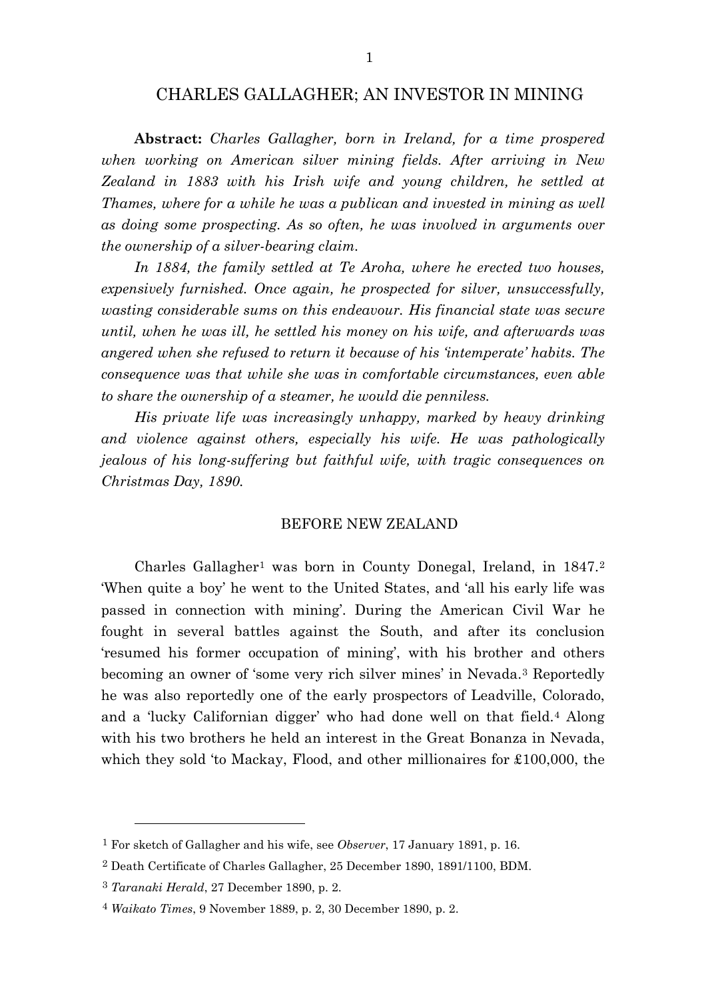# CHARLES GALLAGHER; AN INVESTOR IN MINING

**Abstract:** *Charles Gallagher, born in Ireland, for a time prospered when working on American silver mining fields. After arriving in New Zealand in 1883 with his Irish wife and young children, he settled at Thames, where for a while he was a publican and invested in mining as well as doing some prospecting. As so often, he was involved in arguments over the ownership of a silver-bearing claim.*

*In 1884, the family settled at Te Aroha, where he erected two houses, expensively furnished. Once again, he prospected for silver, unsuccessfully, wasting considerable sums on this endeavour. His financial state was secure until, when he was ill, he settled his money on his wife, and afterwards was angered when she refused to return it because of his 'intemperate' habits. The consequence was that while she was in comfortable circumstances, even able to share the ownership of a steamer, he would die penniless.*

*His private life was increasingly unhappy, marked by heavy drinking and violence against others, especially his wife. He was pathologically jealous of his long-suffering but faithful wife, with tragic consequences on Christmas Day, 1890.*

## BEFORE NEW ZEALAND

Charles Gallagher<sup>[1](#page-1-0)</sup> was born in County Donegal, Ireland, in  $1847<sup>2</sup>$  $1847<sup>2</sup>$  $1847<sup>2</sup>$ 'When quite a boy' he went to the United States, and 'all his early life was passed in connection with mining'. During the American Civil War he fought in several battles against the South, and after its conclusion 'resumed his former occupation of mining', with his brother and others becoming an owner of 'some very rich silver mines' in Nevada.[3](#page-1-2) Reportedly he was also reportedly one of the early prospectors of Leadville, Colorado, and a 'lucky Californian digger' who had done well on that field.[4](#page-1-3) Along with his two brothers he held an interest in the Great Bonanza in Nevada, which they sold 'to Mackay, Flood, and other millionaires for £100,000, the

<span id="page-1-0"></span><sup>1</sup> For sketch of Gallagher and his wife, see *Observer*, 17 January 1891, p. 16.

<span id="page-1-1"></span><sup>2</sup> Death Certificate of Charles Gallagher, 25 December 1890, 1891/1100, BDM.

<span id="page-1-2"></span><sup>3</sup> *Taranaki Herald*, 27 December 1890, p. 2.

<span id="page-1-3"></span><sup>4</sup> *Waikato Times*, 9 November 1889, p. 2, 30 December 1890, p. 2.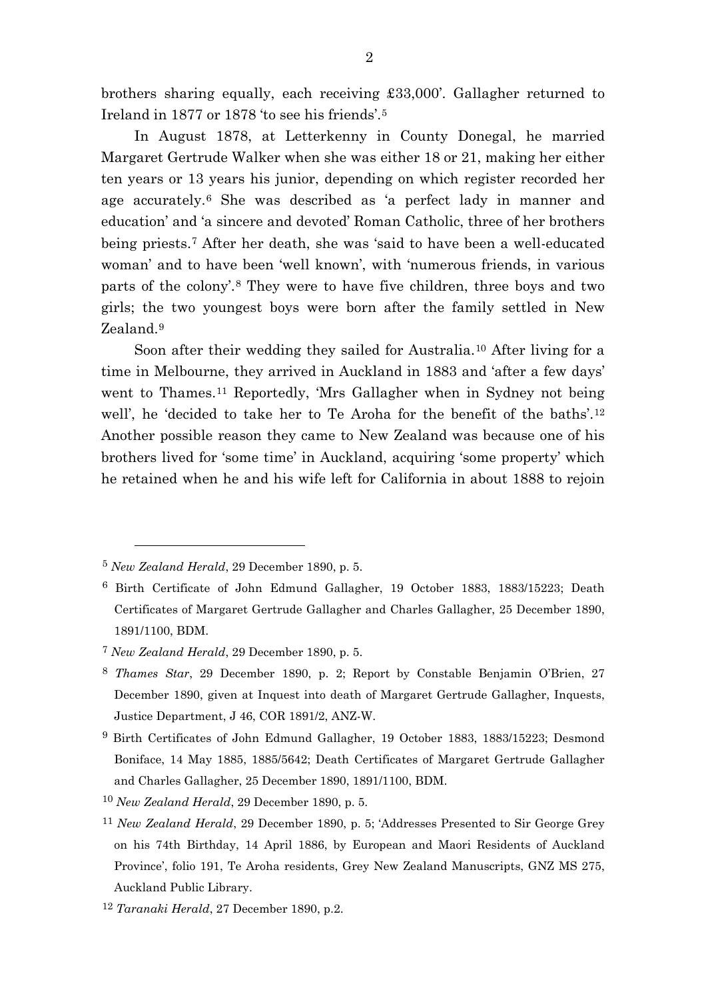brothers sharing equally, each receiving £33,000'. Gallagher returned to Ireland in 1877 or 1878 'to see his friends'.[5](#page-2-0)

In August 1878, at Letterkenny in County Donegal, he married Margaret Gertrude Walker when she was either 18 or 21, making her either ten years or 13 years his junior, depending on which register recorded her age accurately.[6](#page-2-1) She was described as 'a perfect lady in manner and education' and 'a sincere and devoted' Roman Catholic, three of her brothers being priests.[7](#page-2-2) After her death, she was 'said to have been a well-educated woman' and to have been 'well known', with 'numerous friends, in various parts of the colony'.[8](#page-2-3) They were to have five children, three boys and two girls; the two youngest boys were born after the family settled in New Zealand.[9](#page-2-4)

Soon after their wedding they sailed for Australia.[10](#page-2-5) After living for a time in Melbourne, they arrived in Auckland in 1883 and 'after a few days' went to Thames.[11](#page-2-6) Reportedly, 'Mrs Gallagher when in Sydney not being well', he 'decided to take her to Te Aroha for the benefit of the baths'.[12](#page-2-7) Another possible reason they came to New Zealand was because one of his brothers lived for 'some time' in Auckland, acquiring 'some property' which he retained when he and his wife left for California in about 1888 to rejoin

<span id="page-2-0"></span><sup>5</sup> *New Zealand Herald*, 29 December 1890, p. 5.

<span id="page-2-1"></span><sup>6</sup> Birth Certificate of John Edmund Gallagher, 19 October 1883, 1883/15223; Death Certificates of Margaret Gertrude Gallagher and Charles Gallagher, 25 December 1890, 1891/1100, BDM.

<span id="page-2-2"></span><sup>7</sup> *New Zealand Herald*, 29 December 1890, p. 5.

<span id="page-2-3"></span><sup>8</sup> *Thames Star*, 29 December 1890, p. 2; Report by Constable Benjamin O'Brien, 27 December 1890, given at Inquest into death of Margaret Gertrude Gallagher, Inquests, Justice Department, J 46, COR 1891/2, ANZ-W.

<span id="page-2-4"></span><sup>9</sup> Birth Certificates of John Edmund Gallagher, 19 October 1883, 1883/15223; Desmond Boniface, 14 May 1885, 1885/5642; Death Certificates of Margaret Gertrude Gallagher and Charles Gallagher, 25 December 1890, 1891/1100, BDM.

<span id="page-2-5"></span><sup>10</sup> *New Zealand Herald*, 29 December 1890, p. 5.

<span id="page-2-6"></span><sup>11</sup> *New Zealand Herald*, 29 December 1890, p. 5; 'Addresses Presented to Sir George Grey on his 74th Birthday, 14 April 1886, by European and Maori Residents of Auckland Province', folio 191, Te Aroha residents, Grey New Zealand Manuscripts, GNZ MS 275, Auckland Public Library.

<span id="page-2-7"></span><sup>12</sup> *Taranaki Herald*, 27 December 1890, p.2.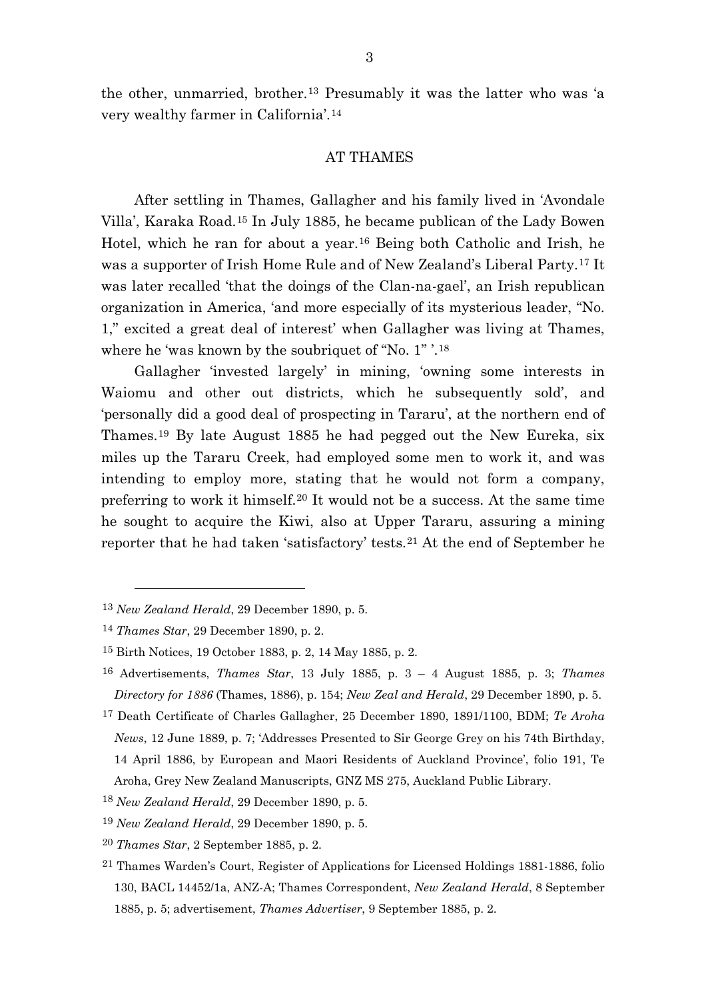the other, unmarried, brother.[13](#page-3-0) Presumably it was the latter who was 'a very wealthy farmer in California'.[14](#page-3-1)

#### AT THAMES

After settling in Thames, Gallagher and his family lived in 'Avondale Villa', Karaka Road.[15](#page-3-2) In July 1885, he became publican of the Lady Bowen Hotel, which he ran for about a year.[16](#page-3-3) Being both Catholic and Irish, he was a supporter of Irish Home Rule and of New Zealand's Liberal Party.[17](#page-3-4) It was later recalled 'that the doings of the Clan-na-gael', an Irish republican organization in America, 'and more especially of its mysterious leader, "No. 1," excited a great deal of interest' when Gallagher was living at Thames, where he 'was known by the soubriquet of "No. 1" '.[18](#page-3-5)

Gallagher 'invested largely' in mining, 'owning some interests in Waiomu and other out districts, which he subsequently sold', and 'personally did a good deal of prospecting in Tararu', at the northern end of Thames.[19](#page-3-6) By late August 1885 he had pegged out the New Eureka, six miles up the Tararu Creek, had employed some men to work it, and was intending to employ more, stating that he would not form a company, preferring to work it himself.[20](#page-3-7) It would not be a success. At the same time he sought to acquire the Kiwi, also at Upper Tararu, assuring a mining reporter that he had taken 'satisfactory' tests.[21](#page-3-8) At the end of September he

<span id="page-3-0"></span><sup>13</sup> *New Zealand Herald*, 29 December 1890, p. 5.

<span id="page-3-1"></span><sup>14</sup> *Thames Star*, 29 December 1890, p. 2.

<span id="page-3-2"></span><sup>15</sup> Birth Notices, 19 October 1883, p. 2, 14 May 1885, p. 2.

<span id="page-3-3"></span><sup>16</sup> Advertisements, *Thames Star*, 13 July 1885, p. 3 – 4 August 1885, p. 3; *Thames Directory for 1886* (Thames, 1886), p. 154; *New Zeal and Herald*, 29 December 1890, p. 5.

<span id="page-3-4"></span><sup>17</sup> Death Certificate of Charles Gallagher, 25 December 1890, 1891/1100, BDM; *Te Aroha News*, 12 June 1889, p. 7; 'Addresses Presented to Sir George Grey on his 74th Birthday, 14 April 1886, by European and Maori Residents of Auckland Province', folio 191, Te Aroha, Grey New Zealand Manuscripts, GNZ MS 275, Auckland Public Library.

<span id="page-3-5"></span><sup>18</sup> *New Zealand Herald*, 29 December 1890, p. 5.

<span id="page-3-6"></span><sup>19</sup> *New Zealand Herald*, 29 December 1890, p. 5.

<span id="page-3-7"></span><sup>20</sup> *Thames Star*, 2 September 1885, p. 2.

<span id="page-3-8"></span><sup>21</sup> Thames Warden's Court, Register of Applications for Licensed Holdings 1881-1886, folio 130, BACL 14452/1a, ANZ-A; Thames Correspondent, *New Zealand Herald*, 8 September 1885, p. 5; advertisement, *Thames Advertiser*, 9 September 1885, p. 2.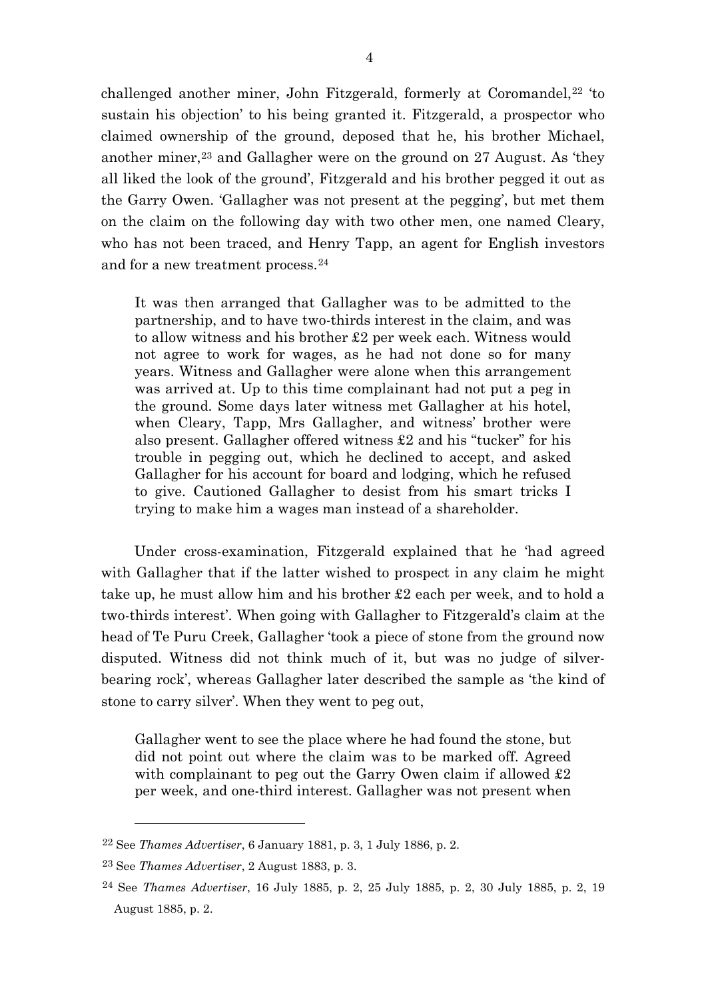challenged another miner, John Fitzgerald, formerly at Coromandel, $22$  'to sustain his objection' to his being granted it. Fitzgerald, a prospector who claimed ownership of the ground, deposed that he, his brother Michael, another miner,<sup>[23](#page-4-1)</sup> and Gallagher were on the ground on  $27$  August. As 'they all liked the look of the ground', Fitzgerald and his brother pegged it out as the Garry Owen. 'Gallagher was not present at the pegging', but met them on the claim on the following day with two other men, one named Cleary, who has not been traced, and Henry Tapp, an agent for English investors and for a new treatment process.[24](#page-4-2)

It was then arranged that Gallagher was to be admitted to the partnership, and to have two-thirds interest in the claim, and was to allow witness and his brother £2 per week each. Witness would not agree to work for wages, as he had not done so for many years. Witness and Gallagher were alone when this arrangement was arrived at. Up to this time complainant had not put a peg in the ground. Some days later witness met Gallagher at his hotel, when Cleary, Tapp, Mrs Gallagher, and witness' brother were also present. Gallagher offered witness £2 and his "tucker" for his trouble in pegging out, which he declined to accept, and asked Gallagher for his account for board and lodging, which he refused to give. Cautioned Gallagher to desist from his smart tricks I trying to make him a wages man instead of a shareholder.

Under cross-examination, Fitzgerald explained that he 'had agreed with Gallagher that if the latter wished to prospect in any claim he might take up, he must allow him and his brother £2 each per week, and to hold a two-thirds interest'. When going with Gallagher to Fitzgerald's claim at the head of Te Puru Creek, Gallagher 'took a piece of stone from the ground now disputed. Witness did not think much of it, but was no judge of silverbearing rock', whereas Gallagher later described the sample as 'the kind of stone to carry silver'. When they went to peg out,

Gallagher went to see the place where he had found the stone, but did not point out where the claim was to be marked off. Agreed with complainant to peg out the Garry Owen claim if allowed £2 per week, and one-third interest. Gallagher was not present when

<span id="page-4-0"></span><sup>22</sup> See *Thames Advertiser*, 6 January 1881, p. 3, 1 July 1886, p. 2.

<span id="page-4-1"></span><sup>23</sup> See *Thames Advertiser*, 2 August 1883, p. 3.

<span id="page-4-2"></span><sup>24</sup> See *Thames Advertiser*, 16 July 1885, p. 2, 25 July 1885, p. 2, 30 July 1885, p. 2, 19 August 1885, p. 2.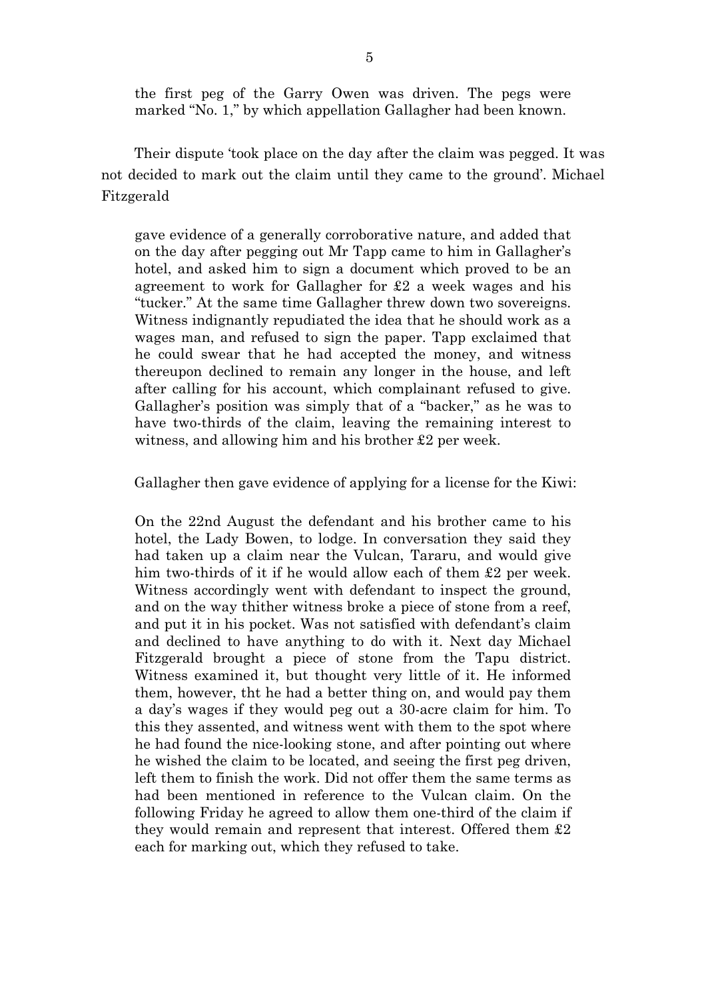the first peg of the Garry Owen was driven. The pegs were marked "No. 1," by which appellation Gallagher had been known.

Their dispute 'took place on the day after the claim was pegged. It was not decided to mark out the claim until they came to the ground'. Michael Fitzgerald

gave evidence of a generally corroborative nature, and added that on the day after pegging out Mr Tapp came to him in Gallagher's hotel, and asked him to sign a document which proved to be an agreement to work for Gallagher for £2 a week wages and his "tucker." At the same time Gallagher threw down two sovereigns. Witness indignantly repudiated the idea that he should work as a wages man, and refused to sign the paper. Tapp exclaimed that he could swear that he had accepted the money, and witness thereupon declined to remain any longer in the house, and left after calling for his account, which complainant refused to give. Gallagher's position was simply that of a "backer," as he was to have two-thirds of the claim, leaving the remaining interest to witness, and allowing him and his brother £2 per week.

Gallagher then gave evidence of applying for a license for the Kiwi:

On the 22nd August the defendant and his brother came to his hotel, the Lady Bowen, to lodge. In conversation they said they had taken up a claim near the Vulcan, Tararu, and would give him two-thirds of it if he would allow each of them £2 per week. Witness accordingly went with defendant to inspect the ground, and on the way thither witness broke a piece of stone from a reef, and put it in his pocket. Was not satisfied with defendant's claim and declined to have anything to do with it. Next day Michael Fitzgerald brought a piece of stone from the Tapu district. Witness examined it, but thought very little of it. He informed them, however, tht he had a better thing on, and would pay them a day's wages if they would peg out a 30-acre claim for him. To this they assented, and witness went with them to the spot where he had found the nice-looking stone, and after pointing out where he wished the claim to be located, and seeing the first peg driven, left them to finish the work. Did not offer them the same terms as had been mentioned in reference to the Vulcan claim. On the following Friday he agreed to allow them one-third of the claim if they would remain and represent that interest. Offered them £2 each for marking out, which they refused to take.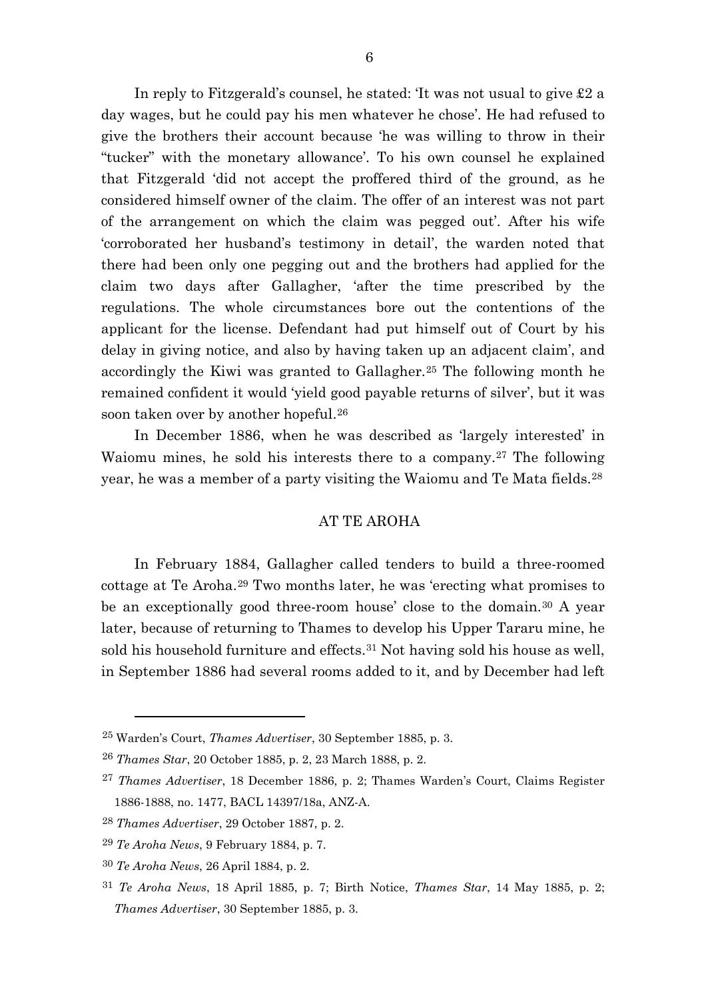In reply to Fitzgerald's counsel, he stated: 'It was not usual to give £2 a day wages, but he could pay his men whatever he chose'. He had refused to give the brothers their account because 'he was willing to throw in their "tucker" with the monetary allowance'. To his own counsel he explained that Fitzgerald 'did not accept the proffered third of the ground, as he considered himself owner of the claim. The offer of an interest was not part of the arrangement on which the claim was pegged out'. After his wife 'corroborated her husband's testimony in detail', the warden noted that there had been only one pegging out and the brothers had applied for the claim two days after Gallagher, 'after the time prescribed by the regulations. The whole circumstances bore out the contentions of the applicant for the license. Defendant had put himself out of Court by his delay in giving notice, and also by having taken up an adjacent claim', and accordingly the Kiwi was granted to Gallagher.[25](#page-6-0) The following month he remained confident it would 'yield good payable returns of silver', but it was soon taken over by another hopeful.[26](#page-6-1)

In December 1886, when he was described as 'largely interested' in Waiomu mines, he sold his interests there to a company.[27](#page-6-2) The following year, he was a member of a party visiting the Waiomu and Te Mata fields.[28](#page-6-3)

# AT TE AROHA

In February 1884, Gallagher called tenders to build a three-roomed cottage at Te Aroha.[29](#page-6-4) Two months later, he was 'erecting what promises to be an exceptionally good three-room house' close to the domain.[30](#page-6-5) A year later, because of returning to Thames to develop his Upper Tararu mine, he sold his household furniture and effects.<sup>[31](#page-6-6)</sup> Not having sold his house as well, in September 1886 had several rooms added to it, and by December had left

<span id="page-6-0"></span><sup>25</sup> Warden's Court, *Thames Advertiser*, 30 September 1885, p. 3.

<span id="page-6-1"></span><sup>26</sup> *Thames Star*, 20 October 1885, p. 2, 23 March 1888, p. 2.

<span id="page-6-2"></span><sup>27</sup> *Thames Advertiser*, 18 December 1886, p. 2; Thames Warden's Court, Claims Register 1886-1888, no. 1477, BACL 14397/18a, ANZ-A.

<span id="page-6-3"></span><sup>28</sup> *Thames Advertiser*, 29 October 1887, p. 2.

<span id="page-6-4"></span><sup>29</sup> *Te Aroha News*, 9 February 1884, p. 7.

<span id="page-6-5"></span><sup>30</sup> *Te Aroha News*, 26 April 1884, p. 2.

<span id="page-6-6"></span><sup>31</sup> *Te Aroha News*, 18 April 1885, p. 7; Birth Notice, *Thames Star*, 14 May 1885, p. 2; *Thames Advertiser*, 30 September 1885, p. 3.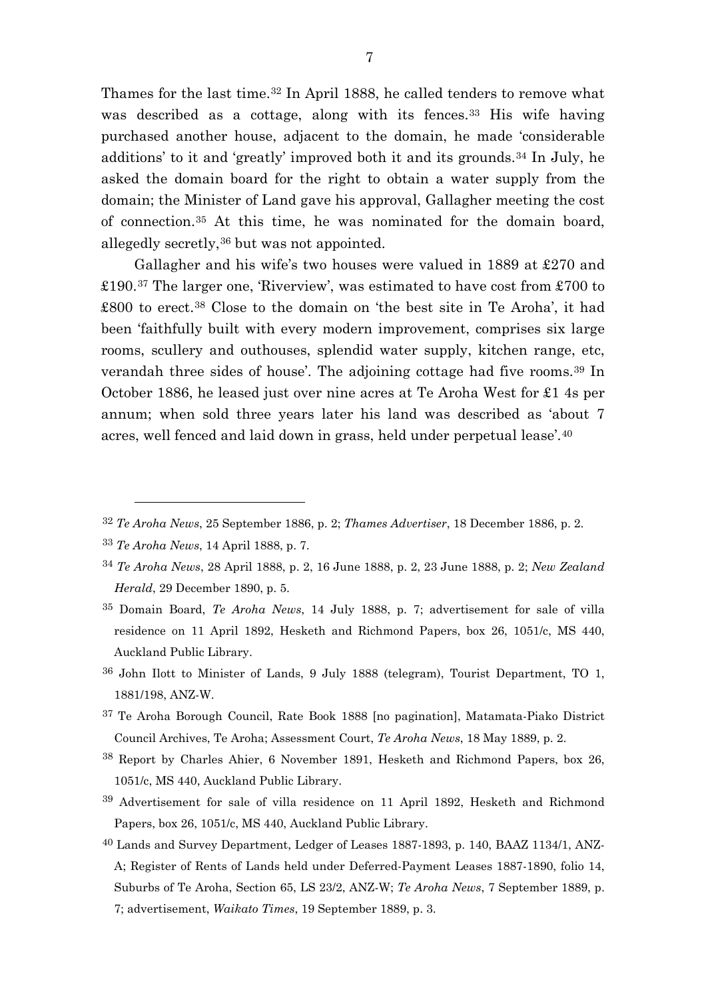Thames for the last time.<sup>[32](#page-7-0)</sup> In April 1888, he called tenders to remove what was described as a cottage, along with its fences.<sup>[33](#page-7-1)</sup> His wife having purchased another house, adjacent to the domain, he made 'considerable additions' to it and 'greatly' improved both it and its grounds.[34](#page-7-2) In July, he asked the domain board for the right to obtain a water supply from the domain; the Minister of Land gave his approval, Gallagher meeting the cost of connection.[35](#page-7-3) At this time, he was nominated for the domain board, allegedly secretly,[36](#page-7-4) but was not appointed.

Gallagher and his wife's two houses were valued in 1889 at £270 and £190.[37](#page-7-5) The larger one, 'Riverview', was estimated to have cost from £700 to £800 to erect.[38](#page-7-6) Close to the domain on 'the best site in Te Aroha', it had been 'faithfully built with every modern improvement, comprises six large rooms, scullery and outhouses, splendid water supply, kitchen range, etc, verandah three sides of house'. The adjoining cottage had five rooms.[39](#page-7-7) In October 1886, he leased just over nine acres at Te Aroha West for £1 4s per annum; when sold three years later his land was described as 'about 7 acres, well fenced and laid down in grass, held under perpetual lease'.[40](#page-7-8)

- <span id="page-7-5"></span>37 Te Aroha Borough Council, Rate Book 1888 [no pagination], Matamata-Piako District Council Archives, Te Aroha; Assessment Court, *Te Aroha News*, 18 May 1889, p. 2.
- <span id="page-7-6"></span>38 Report by Charles Ahier, 6 November 1891, Hesketh and Richmond Papers, box 26, 1051/c, MS 440, Auckland Public Library.
- <span id="page-7-7"></span>39 Advertisement for sale of villa residence on 11 April 1892, Hesketh and Richmond Papers, box 26, 1051/c, MS 440, Auckland Public Library.
- <span id="page-7-8"></span>40 Lands and Survey Department, Ledger of Leases 1887-1893, p. 140, BAAZ 1134/1, ANZ-A; Register of Rents of Lands held under Deferred-Payment Leases 1887-1890, folio 14, Suburbs of Te Aroha, Section 65, LS 23/2, ANZ-W; *Te Aroha News*, 7 September 1889, p. 7; advertisement, *Waikato Times*, 19 September 1889, p. 3.

<span id="page-7-0"></span><sup>32</sup> *Te Aroha News*, 25 September 1886, p. 2; *Thames Advertiser*, 18 December 1886, p. 2.

<span id="page-7-1"></span><sup>33</sup> *Te Aroha News*, 14 April 1888, p. 7.

<span id="page-7-2"></span><sup>34</sup> *Te Aroha News*, 28 April 1888, p. 2, 16 June 1888, p. 2, 23 June 1888, p. 2; *New Zealand Herald*, 29 December 1890, p. 5.

<span id="page-7-3"></span><sup>35</sup> Domain Board, *Te Aroha News*, 14 July 1888, p. 7; advertisement for sale of villa residence on 11 April 1892, Hesketh and Richmond Papers, box 26, 1051/c, MS 440, Auckland Public Library.

<span id="page-7-4"></span><sup>36</sup> John Ilott to Minister of Lands, 9 July 1888 (telegram), Tourist Department, TO 1, 1881/198, ANZ-W.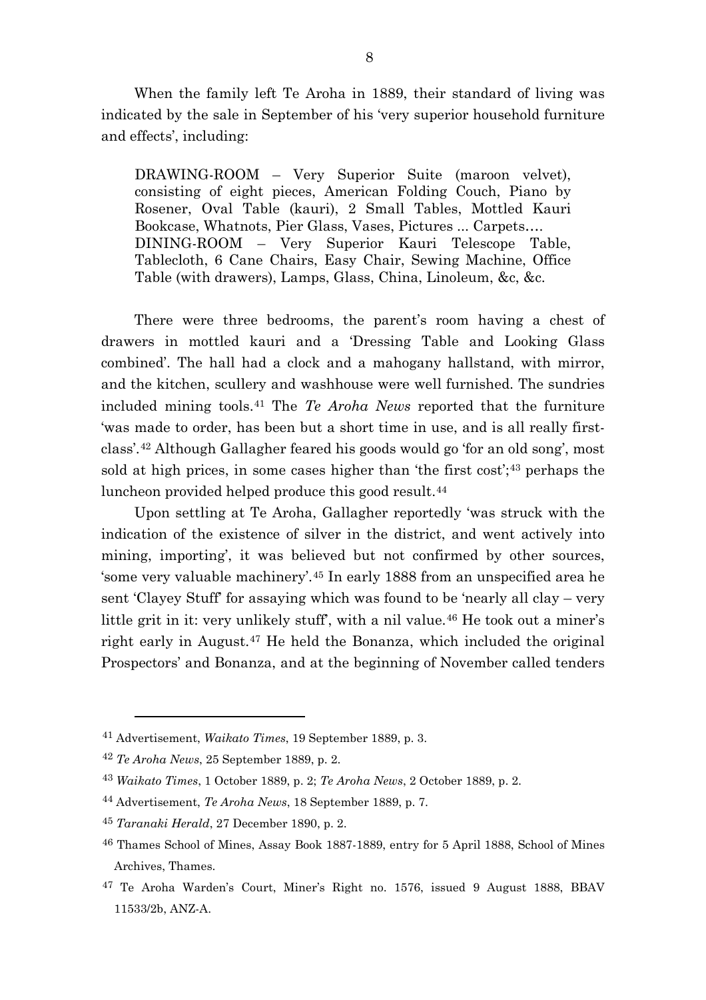When the family left Te Aroha in 1889, their standard of living was indicated by the sale in September of his 'very superior household furniture and effects', including:

DRAWING-ROOM – Very Superior Suite (maroon velvet), consisting of eight pieces, American Folding Couch, Piano by Rosener, Oval Table (kauri), 2 Small Tables, Mottled Kauri Bookcase, Whatnots, Pier Glass, Vases, Pictures ... Carpets…. DINING-ROOM – Very Superior Kauri Telescope Table, Tablecloth, 6 Cane Chairs, Easy Chair, Sewing Machine, Office Table (with drawers), Lamps, Glass, China, Linoleum, &c, &c.

There were three bedrooms, the parent's room having a chest of drawers in mottled kauri and a 'Dressing Table and Looking Glass combined'. The hall had a clock and a mahogany hallstand, with mirror, and the kitchen, scullery and washhouse were well furnished. The sundries included mining tools.[41](#page-8-0) The *Te Aroha News* reported that the furniture 'was made to order, has been but a short time in use, and is all really firstclass'.[42](#page-8-1) Although Gallagher feared his goods would go 'for an old song', most sold at high prices, in some cases higher than 'the first cost';<sup>[43](#page-8-2)</sup> perhaps the luncheon provided helped produce this good result.[44](#page-8-3)

Upon settling at Te Aroha, Gallagher reportedly 'was struck with the indication of the existence of silver in the district, and went actively into mining, importing', it was believed but not confirmed by other sources, 'some very valuable machinery'.[45](#page-8-4) In early 1888 from an unspecified area he sent 'Clayey Stuff' for assaying which was found to be 'nearly all clay – very little grit in it: very unlikely stuff', with a nil value.<sup>[46](#page-8-5)</sup> He took out a miner's right early in August.[47](#page-8-6) He held the Bonanza, which included the original Prospectors' and Bonanza, and at the beginning of November called tenders

<span id="page-8-0"></span><sup>41</sup> Advertisement, *Waikato Times*, 19 September 1889, p. 3.

<span id="page-8-1"></span><sup>42</sup> *Te Aroha News*, 25 September 1889, p. 2.

<span id="page-8-2"></span><sup>43</sup> *Waikato Times*, 1 October 1889, p. 2; *Te Aroha News*, 2 October 1889, p. 2.

<span id="page-8-3"></span><sup>44</sup> Advertisement, *Te Aroha News*, 18 September 1889, p. 7.

<span id="page-8-4"></span><sup>45</sup> *Taranaki Herald*, 27 December 1890, p. 2.

<span id="page-8-5"></span><sup>46</sup> Thames School of Mines, Assay Book 1887-1889, entry for 5 April 1888, School of Mines Archives, Thames.

<span id="page-8-6"></span><sup>47</sup> Te Aroha Warden's Court, Miner's Right no. 1576, issued 9 August 1888, BBAV 11533/2b, ANZ-A.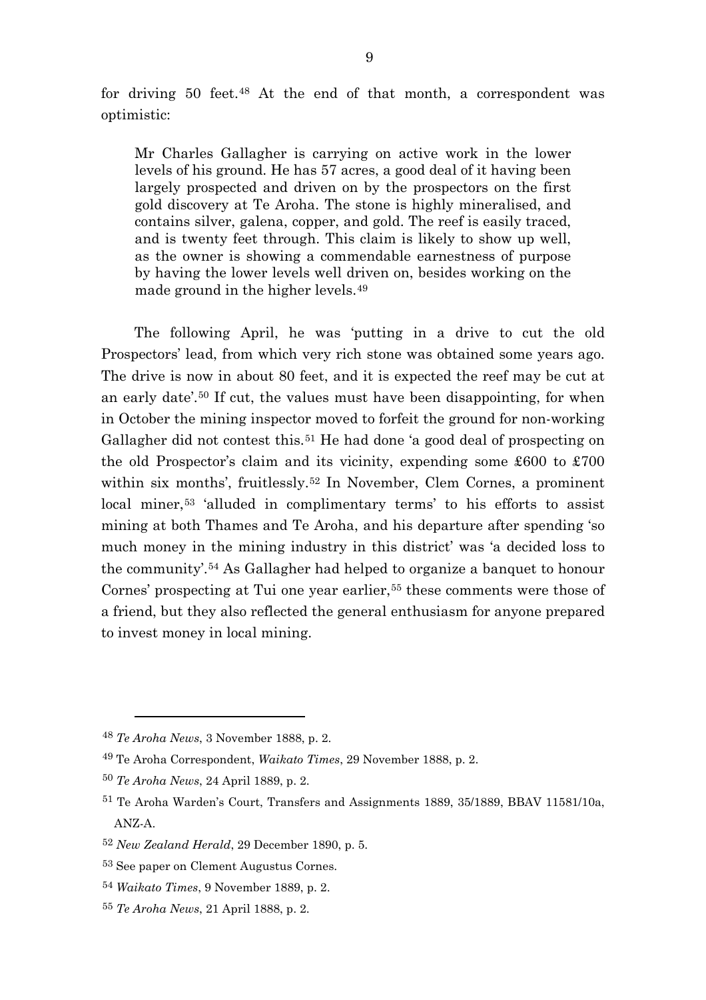for driving 50 feet.[48](#page-9-0) At the end of that month, a correspondent was optimistic:

Mr Charles Gallagher is carrying on active work in the lower levels of his ground. He has 57 acres, a good deal of it having been largely prospected and driven on by the prospectors on the first gold discovery at Te Aroha. The stone is highly mineralised, and contains silver, galena, copper, and gold. The reef is easily traced, and is twenty feet through. This claim is likely to show up well, as the owner is showing a commendable earnestness of purpose by having the lower levels well driven on, besides working on the made ground in the higher levels.[49](#page-9-1)

The following April, he was 'putting in a drive to cut the old Prospectors' lead, from which very rich stone was obtained some years ago. The drive is now in about 80 feet, and it is expected the reef may be cut at an early date'.[50](#page-9-2) If cut, the values must have been disappointing, for when in October the mining inspector moved to forfeit the ground for non-working Gallagher did not contest this.<sup>[51](#page-9-3)</sup> He had done 'a good deal of prospecting on the old Prospector's claim and its vicinity, expending some £600 to £700 within six months', fruitlessly.<sup>[52](#page-9-4)</sup> In November, Clem Cornes, a prominent local miner,<sup>[53](#page-9-5)</sup> 'alluded in complimentary terms' to his efforts to assist mining at both Thames and Te Aroha, and his departure after spending 'so much money in the mining industry in this district' was 'a decided loss to the community'.[54](#page-9-6) As Gallagher had helped to organize a banquet to honour Cornes' prospecting at Tui one year earlier,<sup>[55](#page-9-7)</sup> these comments were those of a friend, but they also reflected the general enthusiasm for anyone prepared to invest money in local mining.

<span id="page-9-0"></span><sup>48</sup> *Te Aroha News*, 3 November 1888, p. 2.

<span id="page-9-1"></span><sup>49</sup> Te Aroha Correspondent, *Waikato Times*, 29 November 1888, p. 2.

<span id="page-9-2"></span><sup>50</sup> *Te Aroha News*, 24 April 1889, p. 2.

<span id="page-9-3"></span><sup>51</sup> Te Aroha Warden's Court, Transfers and Assignments 1889, 35/1889, BBAV 11581/10a, ANZ-A.

<span id="page-9-4"></span><sup>52</sup> *New Zealand Herald*, 29 December 1890, p. 5.

<span id="page-9-5"></span><sup>53</sup> See paper on Clement Augustus Cornes.

<span id="page-9-6"></span><sup>54</sup> *Waikato Times*, 9 November 1889, p. 2.

<span id="page-9-7"></span><sup>55</sup> *Te Aroha News*, 21 April 1888, p. 2.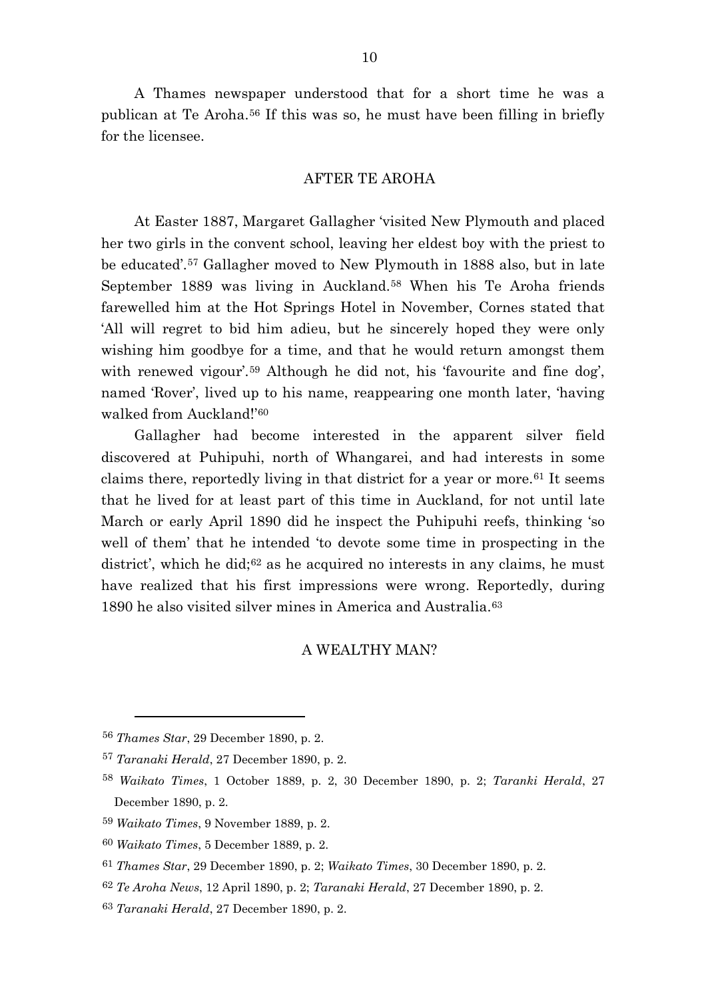A Thames newspaper understood that for a short time he was a publican at Te Aroha.[56](#page-10-0) If this was so, he must have been filling in briefly for the licensee.

## AFTER TE AROHA

At Easter 1887, Margaret Gallagher 'visited New Plymouth and placed her two girls in the convent school, leaving her eldest boy with the priest to be educated'.[57](#page-10-1) Gallagher moved to New Plymouth in 1888 also, but in late September 1889 was living in Auckland.[58](#page-10-2) When his Te Aroha friends farewelled him at the Hot Springs Hotel in November, Cornes stated that 'All will regret to bid him adieu, but he sincerely hoped they were only wishing him goodbye for a time, and that he would return amongst them with renewed vigour<sup>'.[59](#page-10-3)</sup> Although he did not, his 'favourite and fine dog', named 'Rover', lived up to his name, reappearing one month later, 'having walked from Auckland!'[60](#page-10-4)

Gallagher had become interested in the apparent silver field discovered at Puhipuhi, north of Whangarei, and had interests in some claims there, reportedly living in that district for a year or more.<sup>[61](#page-10-5)</sup> It seems that he lived for at least part of this time in Auckland, for not until late March or early April 1890 did he inspect the Puhipuhi reefs, thinking 'so well of them' that he intended 'to devote some time in prospecting in the district', which he did;<sup>[62](#page-10-6)</sup> as he acquired no interests in any claims, he must have realized that his first impressions were wrong. Reportedly, during 1890 he also visited silver mines in America and Australia.[63](#page-10-7)

# A WEALTHY MAN?

<span id="page-10-0"></span><sup>56</sup> *Thames Star*, 29 December 1890, p. 2.

<span id="page-10-1"></span><sup>57</sup> *Taranaki Herald*, 27 December 1890, p. 2.

<span id="page-10-2"></span><sup>58</sup> *Waikato Times*, 1 October 1889, p. 2, 30 December 1890, p. 2; *Taranki Herald*, 27 December 1890, p. 2.

<span id="page-10-3"></span><sup>59</sup> *Waikato Times*, 9 November 1889, p. 2.

<span id="page-10-4"></span><sup>60</sup> *Waikato Times*, 5 December 1889, p. 2.

<span id="page-10-5"></span><sup>61</sup> *Thames Star*, 29 December 1890, p. 2; *Waikato Times*, 30 December 1890, p. 2.

<span id="page-10-6"></span><sup>62</sup> *Te Aroha News*, 12 April 1890, p. 2; *Taranaki Herald*, 27 December 1890, p. 2.

<span id="page-10-7"></span><sup>63</sup> *Taranaki Herald*, 27 December 1890, p. 2.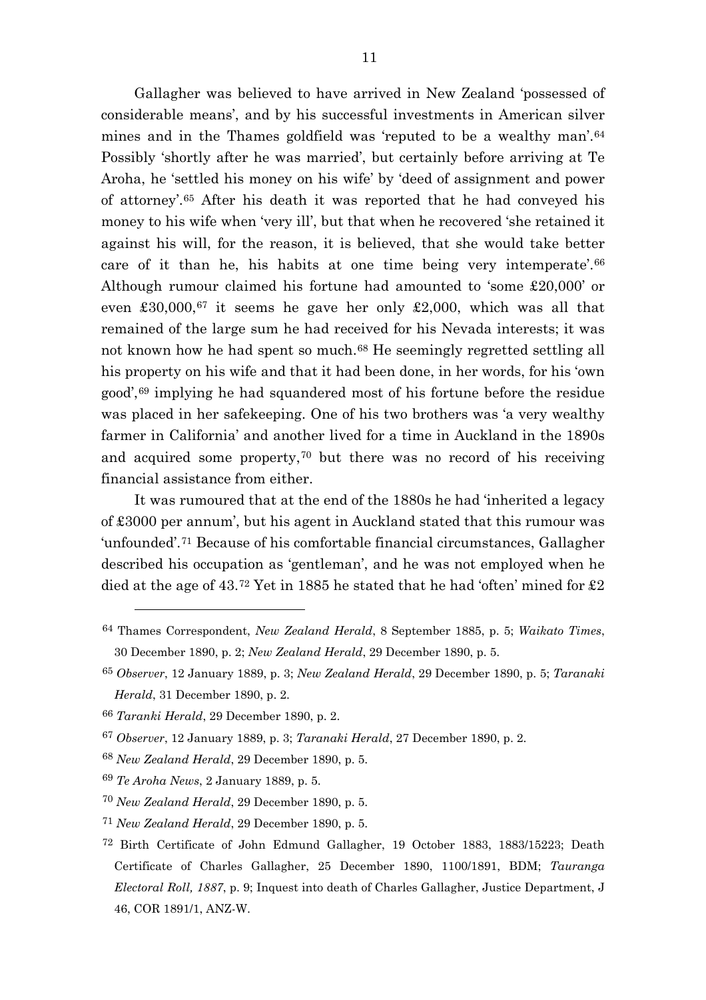Gallagher was believed to have arrived in New Zealand 'possessed of considerable means', and by his successful investments in American silver mines and in the Thames goldfield was 'reputed to be a wealthy man'.[64](#page-11-0) Possibly 'shortly after he was married', but certainly before arriving at Te Aroha, he 'settled his money on his wife' by 'deed of assignment and power of attorney'.[65](#page-11-1) After his death it was reported that he had conveyed his money to his wife when 'very ill', but that when he recovered 'she retained it against his will, for the reason, it is believed, that she would take better care of it than he, his habits at one time being very intemperate'.[66](#page-11-2) Although rumour claimed his fortune had amounted to 'some £20,000' or even  $\text{\pounds}30,000,67$  $\text{\pounds}30,000,67$  it seems he gave her only  $\text{\pounds}2,000$ , which was all that remained of the large sum he had received for his Nevada interests; it was not known how he had spent so much.[68](#page-11-4) He seemingly regretted settling all his property on his wife and that it had been done, in her words, for his 'own good',[69](#page-11-5) implying he had squandered most of his fortune before the residue was placed in her safekeeping. One of his two brothers was 'a very wealthy farmer in California' and another lived for a time in Auckland in the 1890s and acquired some property,[70](#page-11-6) but there was no record of his receiving financial assistance from either.

It was rumoured that at the end of the 1880s he had 'inherited a legacy of £3000 per annum', but his agent in Auckland stated that this rumour was 'unfounded'.[71](#page-11-7) Because of his comfortable financial circumstances, Gallagher described his occupation as 'gentleman', and he was not employed when he died at the age of 43.[72](#page-11-8) Yet in 1885 he stated that he had 'often' mined for £2

<span id="page-11-0"></span><sup>64</sup> Thames Correspondent, *New Zealand Herald*, 8 September 1885, p. 5; *Waikato Times*, 30 December 1890, p. 2; *New Zealand Herald*, 29 December 1890, p. 5.

<span id="page-11-1"></span><sup>65</sup> *Observer*, 12 January 1889, p. 3; *New Zealand Herald*, 29 December 1890, p. 5; *Taranaki Herald*, 31 December 1890, p. 2.

<span id="page-11-2"></span><sup>66</sup> *Taranki Herald*, 29 December 1890, p. 2.

<span id="page-11-3"></span><sup>67</sup> *Observer*, 12 January 1889, p. 3; *Taranaki Herald*, 27 December 1890, p. 2.

<span id="page-11-4"></span><sup>68</sup> *New Zealand Herald*, 29 December 1890, p. 5.

<span id="page-11-5"></span><sup>69</sup> *Te Aroha News*, 2 January 1889, p. 5.

<span id="page-11-6"></span><sup>70</sup> *New Zealand Herald*, 29 December 1890, p. 5.

<span id="page-11-7"></span><sup>71</sup> *New Zealand Herald*, 29 December 1890, p. 5.

<span id="page-11-8"></span><sup>72</sup> Birth Certificate of John Edmund Gallagher, 19 October 1883, 1883/15223; Death Certificate of Charles Gallagher, 25 December 1890, 1100/1891, BDM; *Tauranga Electoral Roll, 1887*, p. 9; Inquest into death of Charles Gallagher, Justice Department, J 46, COR 1891/1, ANZ-W.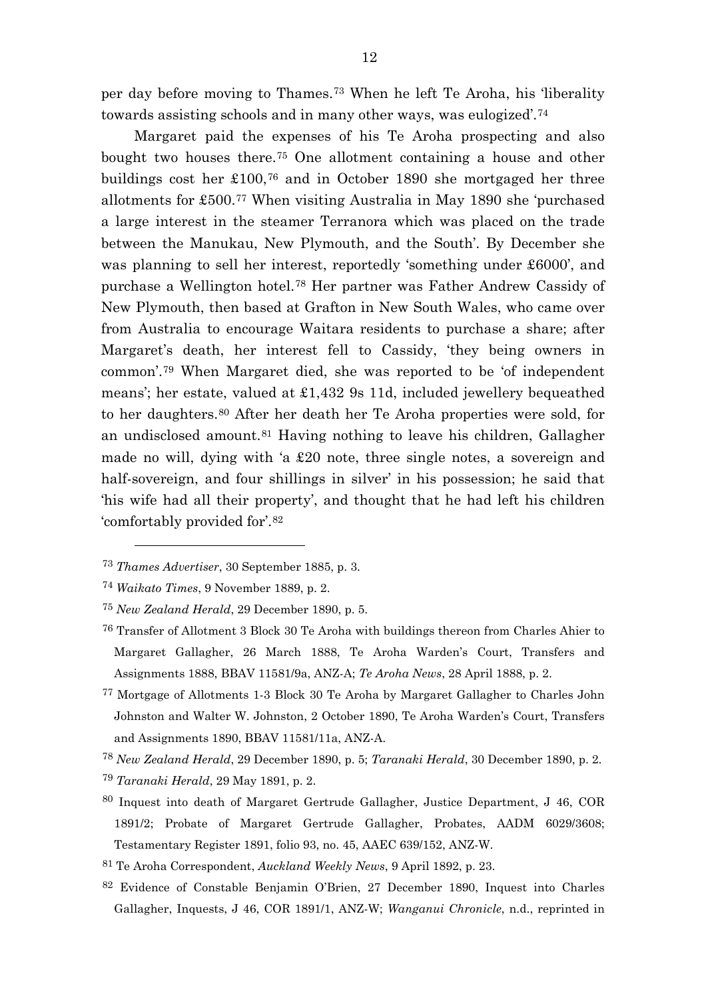per day before moving to Thames.[73](#page-12-0) When he left Te Aroha, his 'liberality towards assisting schools and in many other ways, was eulogized'.[74](#page-12-1)

Margaret paid the expenses of his Te Aroha prospecting and also bought two houses there.[75](#page-12-2) One allotment containing a house and other buildings cost her £100,[76](#page-12-3) and in October 1890 she mortgaged her three allotments for £500.[77](#page-12-4) When visiting Australia in May 1890 she 'purchased a large interest in the steamer Terranora which was placed on the trade between the Manukau, New Plymouth, and the South'. By December she was planning to sell her interest, reportedly 'something under £6000', and purchase a Wellington hotel.[78](#page-12-5) Her partner was Father Andrew Cassidy of New Plymouth, then based at Grafton in New South Wales, who came over from Australia to encourage Waitara residents to purchase a share; after Margaret's death, her interest fell to Cassidy, 'they being owners in common'.[79](#page-12-6) When Margaret died, she was reported to be 'of independent means'; her estate, valued at £1,432 9s 11d, included jewellery bequeathed to her daughters.[80](#page-12-7) After her death her Te Aroha properties were sold, for an undisclosed amount.[81](#page-12-8) Having nothing to leave his children, Gallagher made no will, dying with 'a £20 note, three single notes, a sovereign and half-sovereign, and four shillings in silver' in his possession; he said that 'his wife had all their property', and thought that he had left his children 'comfortably provided for'.[82](#page-12-9)

 $\overline{a}$ 

<span id="page-12-6"></span><sup>79</sup> *Taranaki Herald*, 29 May 1891, p. 2.

- <span id="page-12-8"></span><sup>81</sup> Te Aroha Correspondent, *Auckland Weekly News*, 9 April 1892, p. 23.
- <span id="page-12-9"></span>82 Evidence of Constable Benjamin O'Brien, 27 December 1890, Inquest into Charles Gallagher, Inquests, J 46, COR 1891/1, ANZ-W; *Wanganui Chronicle*, n.d., reprinted in

<span id="page-12-0"></span><sup>73</sup> *Thames Advertiser*, 30 September 1885, p. 3.

<span id="page-12-1"></span><sup>74</sup> *Waikato Times*, 9 November 1889, p. 2.

<span id="page-12-2"></span><sup>75</sup> *New Zealand Herald*, 29 December 1890, p. 5.

<span id="page-12-3"></span><sup>76</sup> Transfer of Allotment 3 Block 30 Te Aroha with buildings thereon from Charles Ahier to Margaret Gallagher, 26 March 1888, Te Aroha Warden's Court, Transfers and Assignments 1888, BBAV 11581/9a, ANZ-A; *Te Aroha News*, 28 April 1888, p. 2.

<span id="page-12-4"></span><sup>77</sup> Mortgage of Allotments 1-3 Block 30 Te Aroha by Margaret Gallagher to Charles John Johnston and Walter W. Johnston, 2 October 1890, Te Aroha Warden's Court, Transfers and Assignments 1890, BBAV 11581/11a, ANZ-A.

<span id="page-12-5"></span><sup>78</sup> *New Zealand Herald*, 29 December 1890, p. 5; *Taranaki Herald*, 30 December 1890, p. 2.

<span id="page-12-7"></span><sup>80</sup> Inquest into death of Margaret Gertrude Gallagher, Justice Department, J 46, COR 1891/2; Probate of Margaret Gertrude Gallagher, Probates, AADM 6029/3608; Testamentary Register 1891, folio 93, no. 45, AAEC 639/152, ANZ-W.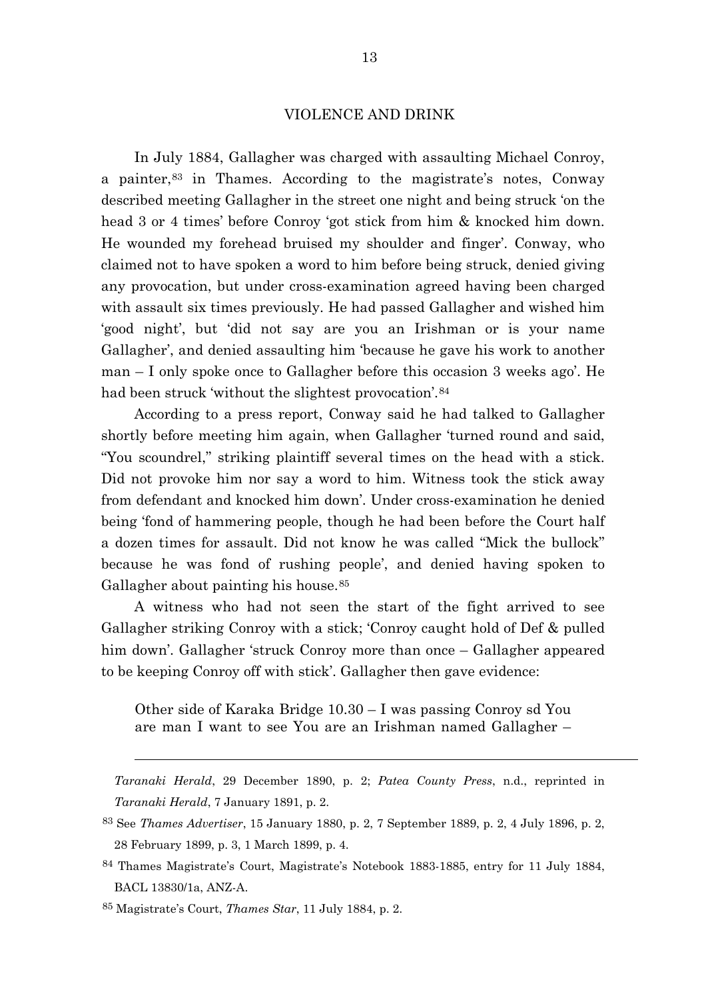### VIOLENCE AND DRINK

In July 1884, Gallagher was charged with assaulting Michael Conroy, a painter,[83](#page-13-0) in Thames. According to the magistrate's notes, Conway described meeting Gallagher in the street one night and being struck 'on the head 3 or 4 times' before Conroy 'got stick from him & knocked him down. He wounded my forehead bruised my shoulder and finger'. Conway, who claimed not to have spoken a word to him before being struck, denied giving any provocation, but under cross-examination agreed having been charged with assault six times previously. He had passed Gallagher and wished him 'good night', but 'did not say are you an Irishman or is your name Gallagher', and denied assaulting him 'because he gave his work to another man – I only spoke once to Gallagher before this occasion 3 weeks ago'. He had been struck 'without the slightest provocation'.<sup>[84](#page-13-1)</sup>

According to a press report, Conway said he had talked to Gallagher shortly before meeting him again, when Gallagher 'turned round and said, "You scoundrel," striking plaintiff several times on the head with a stick. Did not provoke him nor say a word to him. Witness took the stick away from defendant and knocked him down'. Under cross-examination he denied being 'fond of hammering people, though he had been before the Court half a dozen times for assault. Did not know he was called "Mick the bullock" because he was fond of rushing people', and denied having spoken to Gallagher about painting his house.<sup>[85](#page-13-2)</sup>

A witness who had not seen the start of the fight arrived to see Gallagher striking Conroy with a stick; 'Conroy caught hold of Def & pulled him down'. Gallagher 'struck Conroy more than once – Gallagher appeared to be keeping Conroy off with stick'. Gallagher then gave evidence:

Other side of Karaka Bridge 10.30 – I was passing Conroy sd You are man I want to see You are an Irishman named Gallagher –

*Taranaki Herald*, 29 December 1890, p. 2; *Patea County Press*, n.d., reprinted in *Taranaki Herald*, 7 January 1891, p. 2.

<span id="page-13-0"></span><sup>83</sup> See *Thames Advertiser*, 15 January 1880, p. 2, 7 September 1889, p. 2, 4 July 1896, p. 2, 28 February 1899, p. 3, 1 March 1899, p. 4.

<span id="page-13-1"></span><sup>84</sup> Thames Magistrate's Court, Magistrate's Notebook 1883-1885, entry for 11 July 1884, BACL 13830/1a, ANZ-A.

<span id="page-13-2"></span><sup>85</sup> Magistrate's Court, *Thames Star*, 11 July 1884, p. 2.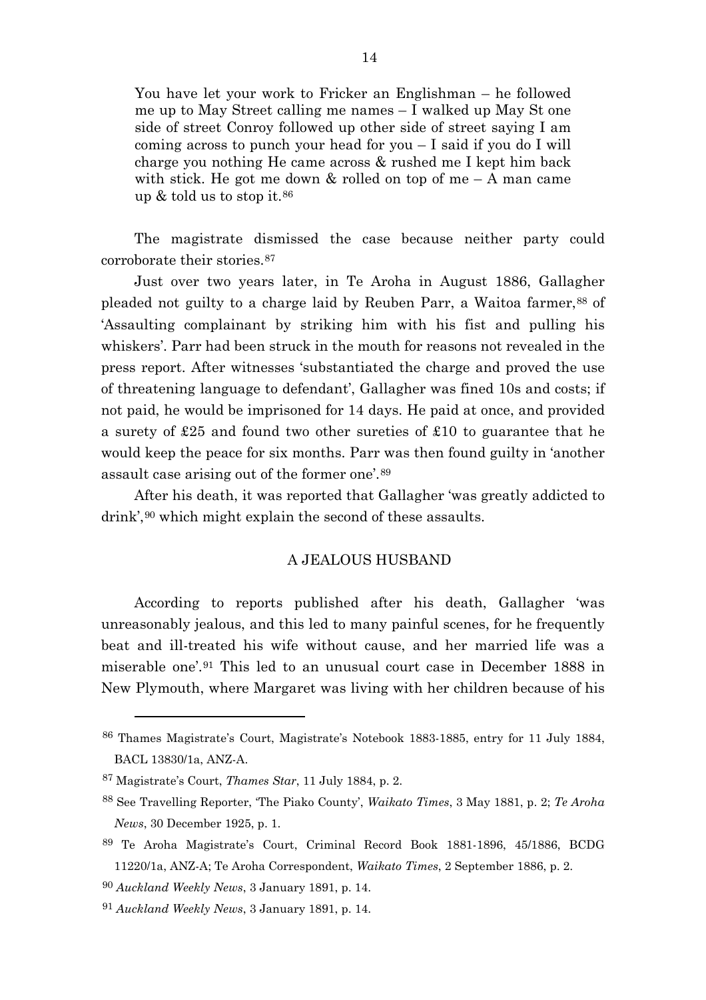You have let your work to Fricker an Englishman – he followed me up to May Street calling me names – I walked up May St one side of street Conroy followed up other side of street saying I am coming across to punch your head for you – I said if you do I will charge you nothing He came across & rushed me I kept him back with stick. He got me down  $\&$  rolled on top of me – A man came up  $&$  told us to stop it.<sup>[86](#page-14-0)</sup>

The magistrate dismissed the case because neither party could corroborate their stories.[87](#page-14-1)

Just over two years later, in Te Aroha in August 1886, Gallagher pleaded not guilty to a charge laid by Reuben Parr, a Waitoa farmer, [88](#page-14-2) of 'Assaulting complainant by striking him with his fist and pulling his whiskers'. Parr had been struck in the mouth for reasons not revealed in the press report. After witnesses 'substantiated the charge and proved the use of threatening language to defendant', Gallagher was fined 10s and costs; if not paid, he would be imprisoned for 14 days. He paid at once, and provided a surety of £25 and found two other sureties of £10 to guarantee that he would keep the peace for six months. Parr was then found guilty in 'another assault case arising out of the former one'.[89](#page-14-3)

After his death, it was reported that Gallagher 'was greatly addicted to drink',<sup>[90](#page-14-4)</sup> which might explain the second of these assaults.

# A JEALOUS HUSBAND

According to reports published after his death, Gallagher 'was unreasonably jealous, and this led to many painful scenes, for he frequently beat and ill-treated his wife without cause, and her married life was a miserable one'.[91](#page-14-5) This led to an unusual court case in December 1888 in New Plymouth, where Margaret was living with her children because of his

<span id="page-14-0"></span><sup>86</sup> Thames Magistrate's Court, Magistrate's Notebook 1883-1885, entry for 11 July 1884, BACL 13830/1a, ANZ-A.

<span id="page-14-1"></span><sup>87</sup> Magistrate's Court, *Thames Star*, 11 July 1884, p. 2.

<span id="page-14-2"></span><sup>88</sup> See Travelling Reporter, 'The Piako County', *Waikato Times*, 3 May 1881, p. 2; *Te Aroha News*, 30 December 1925, p. 1.

<span id="page-14-3"></span><sup>89</sup> Te Aroha Magistrate's Court, Criminal Record Book 1881-1896, 45/1886, BCDG 11220/1a, ANZ-A; Te Aroha Correspondent, *Waikato Times*, 2 September 1886, p. 2.

<span id="page-14-4"></span><sup>90</sup> *Auckland Weekly News*, 3 January 1891, p. 14.

<span id="page-14-5"></span><sup>91</sup> *Auckland Weekly News*, 3 January 1891, p. 14.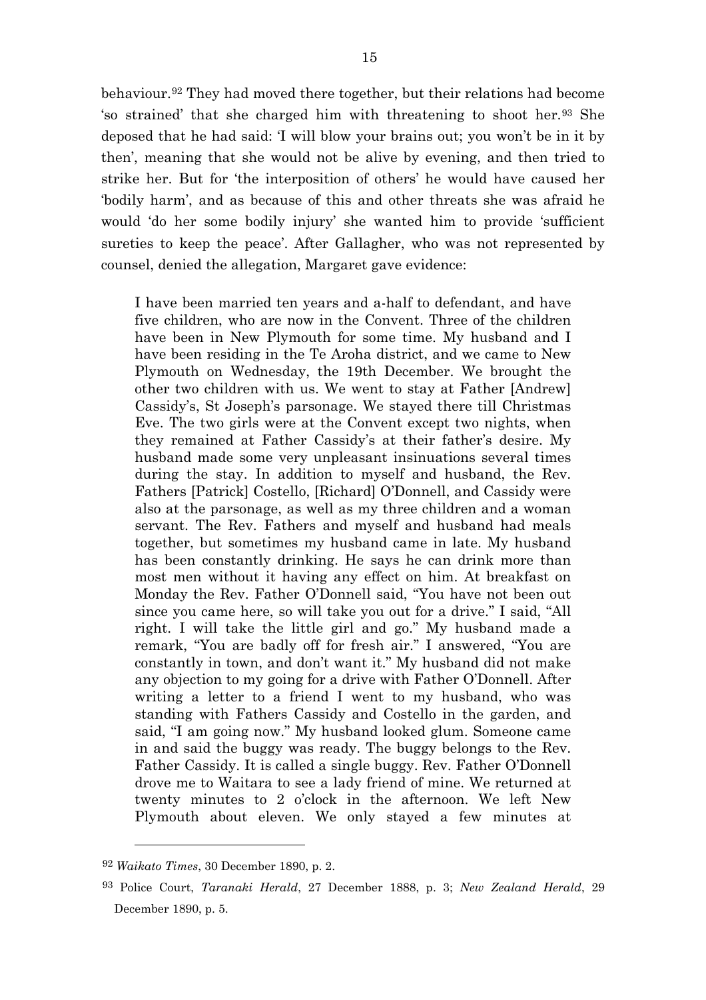behaviour.[92](#page-15-0) They had moved there together, but their relations had become 'so strained' that she charged him with threatening to shoot her.[93](#page-15-1) She deposed that he had said: 'I will blow your brains out; you won't be in it by then', meaning that she would not be alive by evening, and then tried to strike her. But for 'the interposition of others' he would have caused her 'bodily harm', and as because of this and other threats she was afraid he would 'do her some bodily injury' she wanted him to provide 'sufficient sureties to keep the peace'. After Gallagher, who was not represented by counsel, denied the allegation, Margaret gave evidence:

I have been married ten years and a-half to defendant, and have five children, who are now in the Convent. Three of the children have been in New Plymouth for some time. My husband and I have been residing in the Te Aroha district, and we came to New Plymouth on Wednesday, the 19th December. We brought the other two children with us. We went to stay at Father [Andrew] Cassidy's, St Joseph's parsonage. We stayed there till Christmas Eve. The two girls were at the Convent except two nights, when they remained at Father Cassidy's at their father's desire. My husband made some very unpleasant insinuations several times during the stay. In addition to myself and husband, the Rev. Fathers [Patrick] Costello, [Richard] O'Donnell, and Cassidy were also at the parsonage, as well as my three children and a woman servant. The Rev. Fathers and myself and husband had meals together, but sometimes my husband came in late. My husband has been constantly drinking. He says he can drink more than most men without it having any effect on him. At breakfast on Monday the Rev. Father O'Donnell said, "You have not been out since you came here, so will take you out for a drive." I said, "All right. I will take the little girl and go." My husband made a remark, "You are badly off for fresh air." I answered, "You are constantly in town, and don't want it." My husband did not make any objection to my going for a drive with Father O'Donnell. After writing a letter to a friend I went to my husband, who was standing with Fathers Cassidy and Costello in the garden, and said, "I am going now." My husband looked glum. Someone came in and said the buggy was ready. The buggy belongs to the Rev. Father Cassidy. It is called a single buggy. Rev. Father O'Donnell drove me to Waitara to see a lady friend of mine. We returned at twenty minutes to 2 o'clock in the afternoon. We left New Plymouth about eleven. We only stayed a few minutes at

<span id="page-15-0"></span><sup>92</sup> *Waikato Times*, 30 December 1890, p. 2.

<span id="page-15-1"></span><sup>93</sup> Police Court, *Taranaki Herald*, 27 December 1888, p. 3; *New Zealand Herald*, 29 December 1890, p. 5.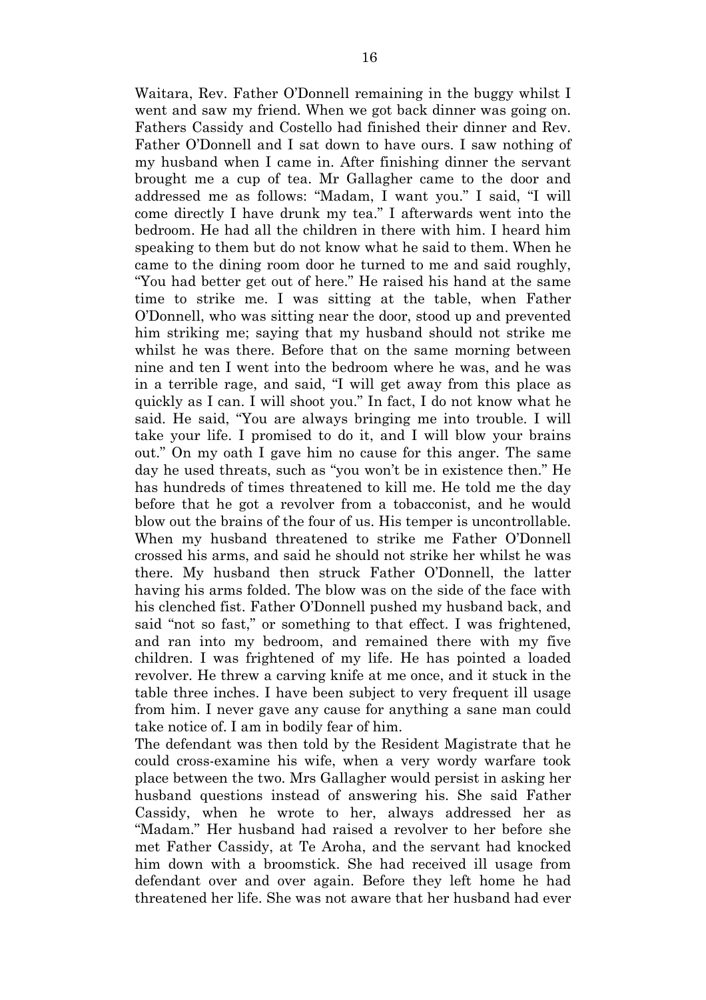Waitara, Rev. Father O'Donnell remaining in the buggy whilst I went and saw my friend. When we got back dinner was going on. Fathers Cassidy and Costello had finished their dinner and Rev. Father O'Donnell and I sat down to have ours. I saw nothing of my husband when I came in. After finishing dinner the servant brought me a cup of tea. Mr Gallagher came to the door and addressed me as follows: "Madam, I want you." I said, "I will come directly I have drunk my tea." I afterwards went into the bedroom. He had all the children in there with him. I heard him speaking to them but do not know what he said to them. When he came to the dining room door he turned to me and said roughly, "You had better get out of here." He raised his hand at the same time to strike me. I was sitting at the table, when Father O'Donnell, who was sitting near the door, stood up and prevented him striking me; saying that my husband should not strike me whilst he was there. Before that on the same morning between nine and ten I went into the bedroom where he was, and he was in a terrible rage, and said, "I will get away from this place as quickly as I can. I will shoot you." In fact, I do not know what he said. He said, "You are always bringing me into trouble. I will take your life. I promised to do it, and I will blow your brains out." On my oath I gave him no cause for this anger. The same day he used threats, such as "you won't be in existence then." He has hundreds of times threatened to kill me. He told me the day before that he got a revolver from a tobacconist, and he would blow out the brains of the four of us. His temper is uncontrollable. When my husband threatened to strike me Father O'Donnell crossed his arms, and said he should not strike her whilst he was there. My husband then struck Father O'Donnell, the latter having his arms folded. The blow was on the side of the face with his clenched fist. Father O'Donnell pushed my husband back, and said "not so fast," or something to that effect. I was frightened, and ran into my bedroom, and remained there with my five children. I was frightened of my life. He has pointed a loaded revolver. He threw a carving knife at me once, and it stuck in the table three inches. I have been subject to very frequent ill usage from him. I never gave any cause for anything a sane man could take notice of. I am in bodily fear of him.

The defendant was then told by the Resident Magistrate that he could cross-examine his wife, when a very wordy warfare took place between the two. Mrs Gallagher would persist in asking her husband questions instead of answering his. She said Father Cassidy, when he wrote to her, always addressed her as "Madam." Her husband had raised a revolver to her before she met Father Cassidy, at Te Aroha, and the servant had knocked him down with a broomstick. She had received ill usage from defendant over and over again. Before they left home he had threatened her life. She was not aware that her husband had ever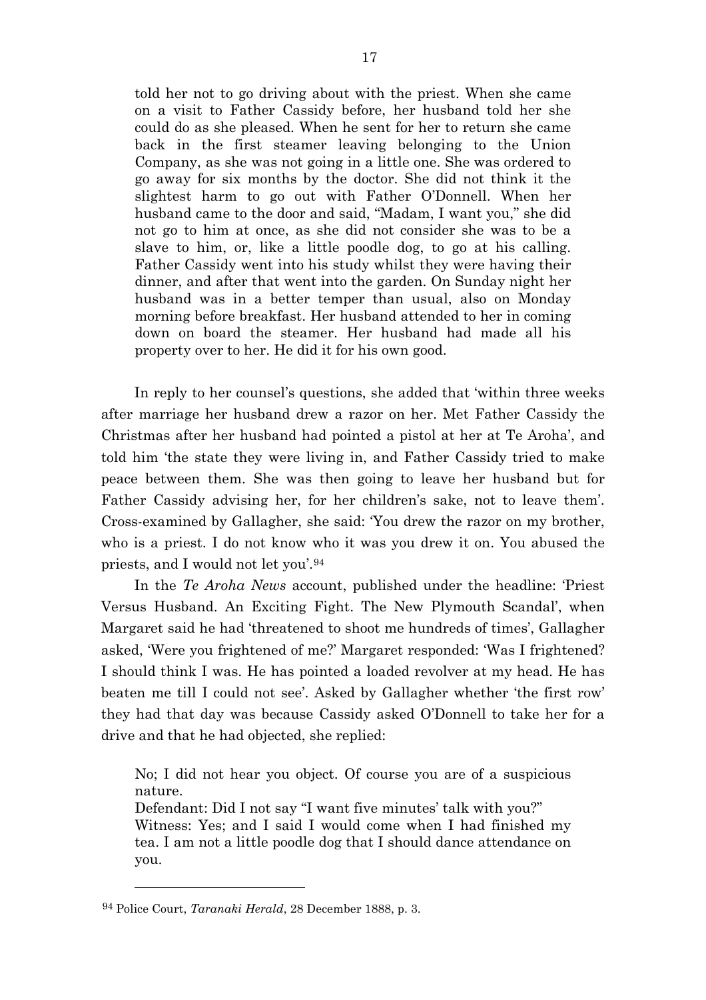told her not to go driving about with the priest. When she came on a visit to Father Cassidy before, her husband told her she could do as she pleased. When he sent for her to return she came back in the first steamer leaving belonging to the Union Company, as she was not going in a little one. She was ordered to go away for six months by the doctor. She did not think it the slightest harm to go out with Father O'Donnell. When her husband came to the door and said, "Madam, I want you," she did not go to him at once, as she did not consider she was to be a slave to him, or, like a little poodle dog, to go at his calling. Father Cassidy went into his study whilst they were having their dinner, and after that went into the garden. On Sunday night her husband was in a better temper than usual, also on Monday morning before breakfast. Her husband attended to her in coming down on board the steamer. Her husband had made all his property over to her. He did it for his own good.

In reply to her counsel's questions, she added that 'within three weeks after marriage her husband drew a razor on her. Met Father Cassidy the Christmas after her husband had pointed a pistol at her at Te Aroha', and told him 'the state they were living in, and Father Cassidy tried to make peace between them. She was then going to leave her husband but for Father Cassidy advising her, for her children's sake, not to leave them'. Cross-examined by Gallagher, she said: 'You drew the razor on my brother, who is a priest. I do not know who it was you drew it on. You abused the priests, and I would not let you'.[94](#page-17-0)

In the *Te Aroha News* account, published under the headline: 'Priest Versus Husband. An Exciting Fight. The New Plymouth Scandal', when Margaret said he had 'threatened to shoot me hundreds of times', Gallagher asked, 'Were you frightened of me?' Margaret responded: 'Was I frightened? I should think I was. He has pointed a loaded revolver at my head. He has beaten me till I could not see'. Asked by Gallagher whether 'the first row' they had that day was because Cassidy asked O'Donnell to take her for a drive and that he had objected, she replied:

No; I did not hear you object. Of course you are of a suspicious nature.

Defendant: Did I not say "I want five minutes' talk with you?" Witness: Yes; and I said I would come when I had finished my tea. I am not a little poodle dog that I should dance attendance on you.

<span id="page-17-0"></span><sup>94</sup> Police Court, *Taranaki Herald*, 28 December 1888, p. 3.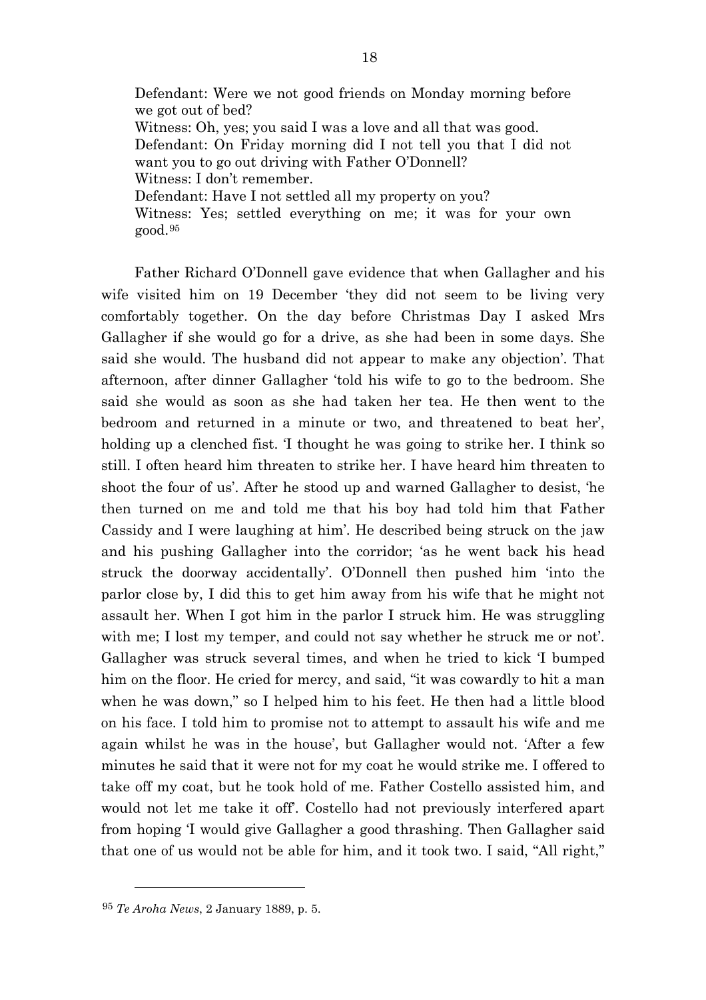Defendant: Were we not good friends on Monday morning before we got out of bed? Witness: Oh, yes; you said I was a love and all that was good. Defendant: On Friday morning did I not tell you that I did not want you to go out driving with Father O'Donnell? Witness: I don't remember. Defendant: Have I not settled all my property on you? Witness: Yes; settled everything on me; it was for your own good.[95](#page-18-0)

Father Richard O'Donnell gave evidence that when Gallagher and his wife visited him on 19 December 'they did not seem to be living very comfortably together. On the day before Christmas Day I asked Mrs Gallagher if she would go for a drive, as she had been in some days. She said she would. The husband did not appear to make any objection'. That afternoon, after dinner Gallagher 'told his wife to go to the bedroom. She said she would as soon as she had taken her tea. He then went to the bedroom and returned in a minute or two, and threatened to beat her', holding up a clenched fist. 'I thought he was going to strike her. I think so still. I often heard him threaten to strike her. I have heard him threaten to shoot the four of us'. After he stood up and warned Gallagher to desist, 'he then turned on me and told me that his boy had told him that Father Cassidy and I were laughing at him'. He described being struck on the jaw and his pushing Gallagher into the corridor; 'as he went back his head struck the doorway accidentally'. O'Donnell then pushed him 'into the parlor close by, I did this to get him away from his wife that he might not assault her. When I got him in the parlor I struck him. He was struggling with me; I lost my temper, and could not say whether he struck me or not'. Gallagher was struck several times, and when he tried to kick 'I bumped him on the floor. He cried for mercy, and said, "it was cowardly to hit a man when he was down," so I helped him to his feet. He then had a little blood on his face. I told him to promise not to attempt to assault his wife and me again whilst he was in the house', but Gallagher would not. 'After a few minutes he said that it were not for my coat he would strike me. I offered to take off my coat, but he took hold of me. Father Costello assisted him, and would not let me take it off'. Costello had not previously interfered apart from hoping 'I would give Gallagher a good thrashing. Then Gallagher said that one of us would not be able for him, and it took two. I said, "All right,"

<span id="page-18-0"></span><sup>95</sup> *Te Aroha News*, 2 January 1889, p. 5.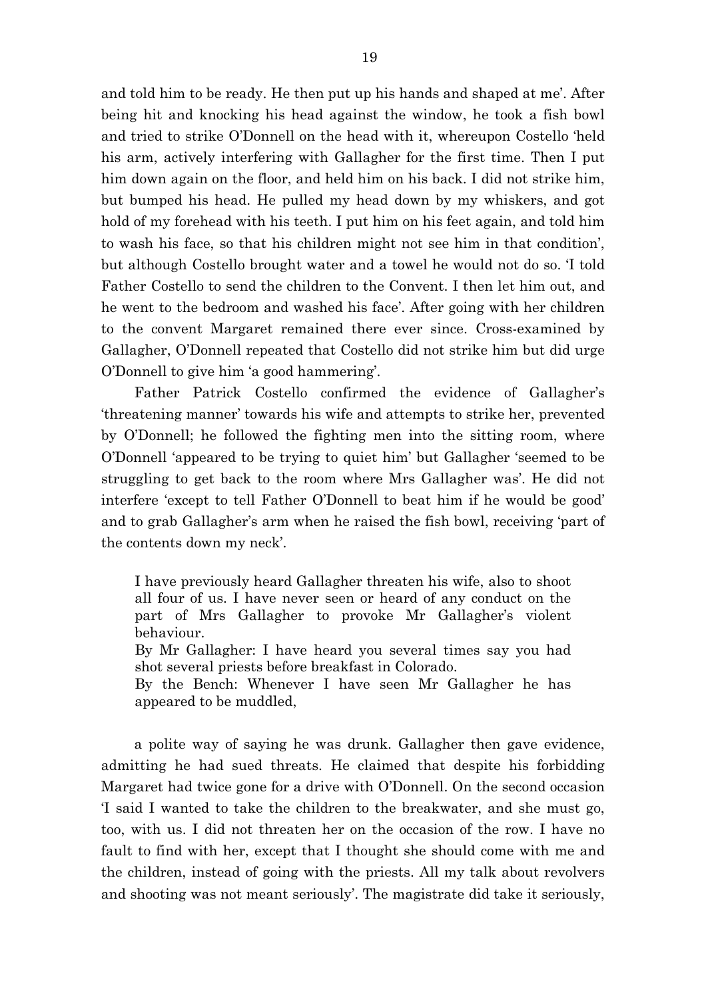and told him to be ready. He then put up his hands and shaped at me'. After being hit and knocking his head against the window, he took a fish bowl and tried to strike O'Donnell on the head with it, whereupon Costello 'held his arm, actively interfering with Gallagher for the first time. Then I put him down again on the floor, and held him on his back. I did not strike him, but bumped his head. He pulled my head down by my whiskers, and got hold of my forehead with his teeth. I put him on his feet again, and told him to wash his face, so that his children might not see him in that condition', but although Costello brought water and a towel he would not do so. 'I told Father Costello to send the children to the Convent. I then let him out, and he went to the bedroom and washed his face'. After going with her children to the convent Margaret remained there ever since. Cross-examined by Gallagher, O'Donnell repeated that Costello did not strike him but did urge O'Donnell to give him 'a good hammering'.

Father Patrick Costello confirmed the evidence of Gallagher's 'threatening manner' towards his wife and attempts to strike her, prevented by O'Donnell; he followed the fighting men into the sitting room, where O'Donnell 'appeared to be trying to quiet him' but Gallagher 'seemed to be struggling to get back to the room where Mrs Gallagher was'. He did not interfere 'except to tell Father O'Donnell to beat him if he would be good' and to grab Gallagher's arm when he raised the fish bowl, receiving 'part of the contents down my neck'.

I have previously heard Gallagher threaten his wife, also to shoot all four of us. I have never seen or heard of any conduct on the part of Mrs Gallagher to provoke Mr Gallagher's violent behaviour. By Mr Gallagher: I have heard you several times say you had

shot several priests before breakfast in Colorado.

By the Bench: Whenever I have seen Mr Gallagher he has appeared to be muddled,

a polite way of saying he was drunk. Gallagher then gave evidence, admitting he had sued threats. He claimed that despite his forbidding Margaret had twice gone for a drive with O'Donnell. On the second occasion 'I said I wanted to take the children to the breakwater, and she must go, too, with us. I did not threaten her on the occasion of the row. I have no fault to find with her, except that I thought she should come with me and the children, instead of going with the priests. All my talk about revolvers and shooting was not meant seriously'. The magistrate did take it seriously,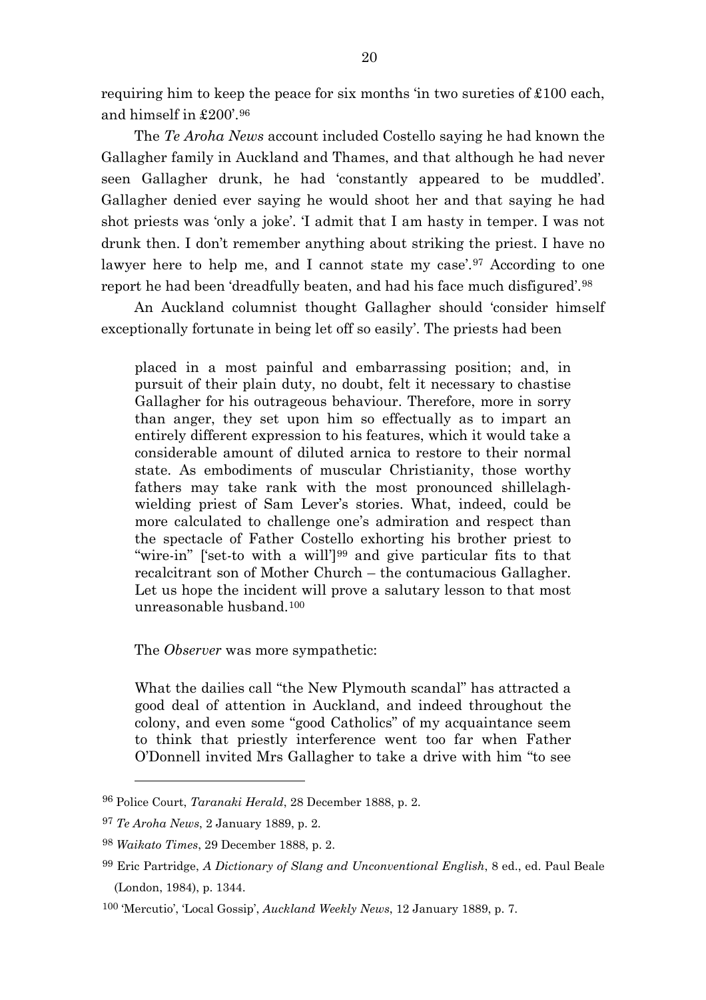requiring him to keep the peace for six months 'in two sureties of £100 each, and himself in £200'.[96](#page-20-0)

The *Te Aroha News* account included Costello saying he had known the Gallagher family in Auckland and Thames, and that although he had never seen Gallagher drunk, he had 'constantly appeared to be muddled'. Gallagher denied ever saying he would shoot her and that saying he had shot priests was 'only a joke'. 'I admit that I am hasty in temper. I was not drunk then. I don't remember anything about striking the priest. I have no lawyer here to help me, and I cannot state my case<sup>', [97](#page-20-1)</sup> According to one report he had been 'dreadfully beaten, and had his face much disfigured'.[98](#page-20-2)

An Auckland columnist thought Gallagher should 'consider himself exceptionally fortunate in being let off so easily'. The priests had been

placed in a most painful and embarrassing position; and, in pursuit of their plain duty, no doubt, felt it necessary to chastise Gallagher for his outrageous behaviour. Therefore, more in sorry than anger, they set upon him so effectually as to impart an entirely different expression to his features, which it would take a considerable amount of diluted arnica to restore to their normal state. As embodiments of muscular Christianity, those worthy fathers may take rank with the most pronounced shillelaghwielding priest of Sam Lever's stories. What, indeed, could be more calculated to challenge one's admiration and respect than the spectacle of Father Costello exhorting his brother priest to "wire-in" ['set-to with a will']<sup>[99](#page-20-3)</sup> and give particular fits to that recalcitrant son of Mother Church – the contumacious Gallagher. Let us hope the incident will prove a salutary lesson to that most unreasonable husband.[100](#page-20-4)

#### The *Observer* was more sympathetic:

What the dailies call "the New Plymouth scandal" has attracted a good deal of attention in Auckland, and indeed throughout the colony, and even some "good Catholics" of my acquaintance seem to think that priestly interference went too far when Father O'Donnell invited Mrs Gallagher to take a drive with him "to see

<span id="page-20-0"></span><sup>96</sup> Police Court, *Taranaki Herald*, 28 December 1888, p. 2.

<span id="page-20-1"></span><sup>97</sup> *Te Aroha News*, 2 January 1889, p. 2.

<span id="page-20-2"></span><sup>98</sup> *Waikato Times*, 29 December 1888, p. 2.

<span id="page-20-3"></span><sup>99</sup> Eric Partridge, *A Dictionary of Slang and Unconventional English*, 8 ed., ed. Paul Beale (London, 1984), p. 1344.

<span id="page-20-4"></span><sup>100</sup> 'Mercutio', 'Local Gossip', *Auckland Weekly News*, 12 January 1889, p. 7.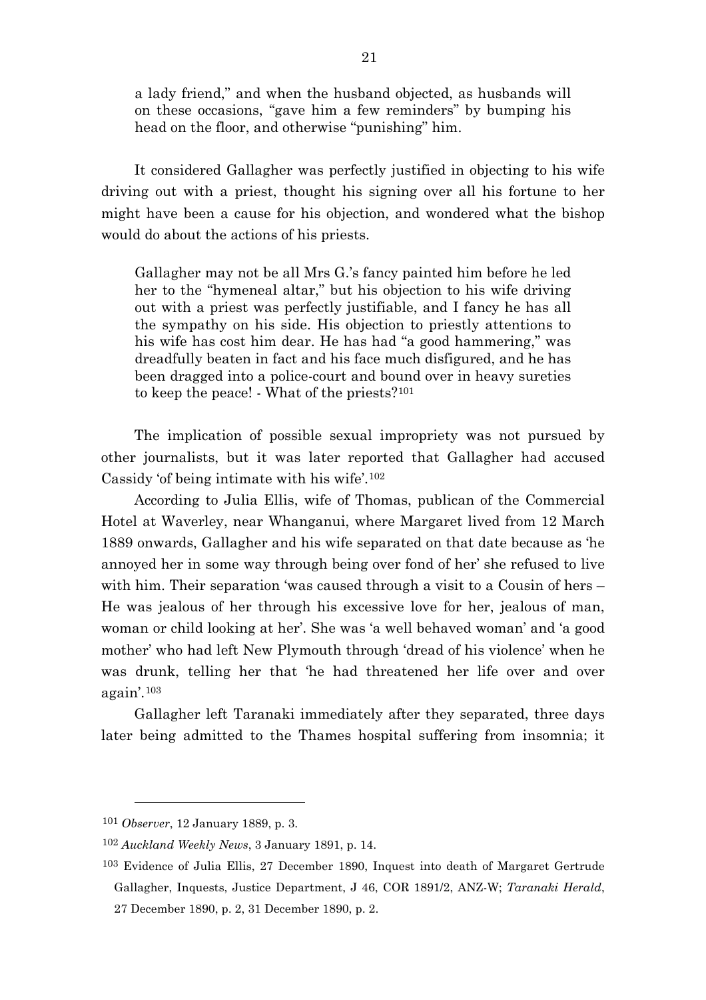a lady friend," and when the husband objected, as husbands will on these occasions, "gave him a few reminders" by bumping his head on the floor, and otherwise "punishing" him.

It considered Gallagher was perfectly justified in objecting to his wife driving out with a priest, thought his signing over all his fortune to her might have been a cause for his objection, and wondered what the bishop would do about the actions of his priests.

Gallagher may not be all Mrs G.'s fancy painted him before he led her to the "hymeneal altar," but his objection to his wife driving out with a priest was perfectly justifiable, and I fancy he has all the sympathy on his side. His objection to priestly attentions to his wife has cost him dear. He has had "a good hammering," was dreadfully beaten in fact and his face much disfigured, and he has been dragged into a police-court and bound over in heavy sureties to keep the peace! - What of the priests?[101](#page-21-0)

The implication of possible sexual impropriety was not pursued by other journalists, but it was later reported that Gallagher had accused Cassidy 'of being intimate with his wife'.[102](#page-21-1)

According to Julia Ellis, wife of Thomas, publican of the Commercial Hotel at Waverley, near Whanganui, where Margaret lived from 12 March 1889 onwards, Gallagher and his wife separated on that date because as 'he annoyed her in some way through being over fond of her' she refused to live with him. Their separation 'was caused through a visit to a Cousin of hers – He was jealous of her through his excessive love for her, jealous of man, woman or child looking at her'. She was 'a well behaved woman' and 'a good mother' who had left New Plymouth through 'dread of his violence' when he was drunk, telling her that 'he had threatened her life over and over again'.[103](#page-21-2)

Gallagher left Taranaki immediately after they separated, three days later being admitted to the Thames hospital suffering from insomnia; it

<span id="page-21-0"></span><sup>101</sup> *Observer*, 12 January 1889, p. 3.

<span id="page-21-1"></span><sup>102</sup> *Auckland Weekly News*, 3 January 1891, p. 14.

<span id="page-21-2"></span><sup>103</sup> Evidence of Julia Ellis, 27 December 1890, Inquest into death of Margaret Gertrude Gallagher, Inquests, Justice Department, J 46, COR 1891/2, ANZ-W; *Taranaki Herald*, 27 December 1890, p. 2, 31 December 1890, p. 2.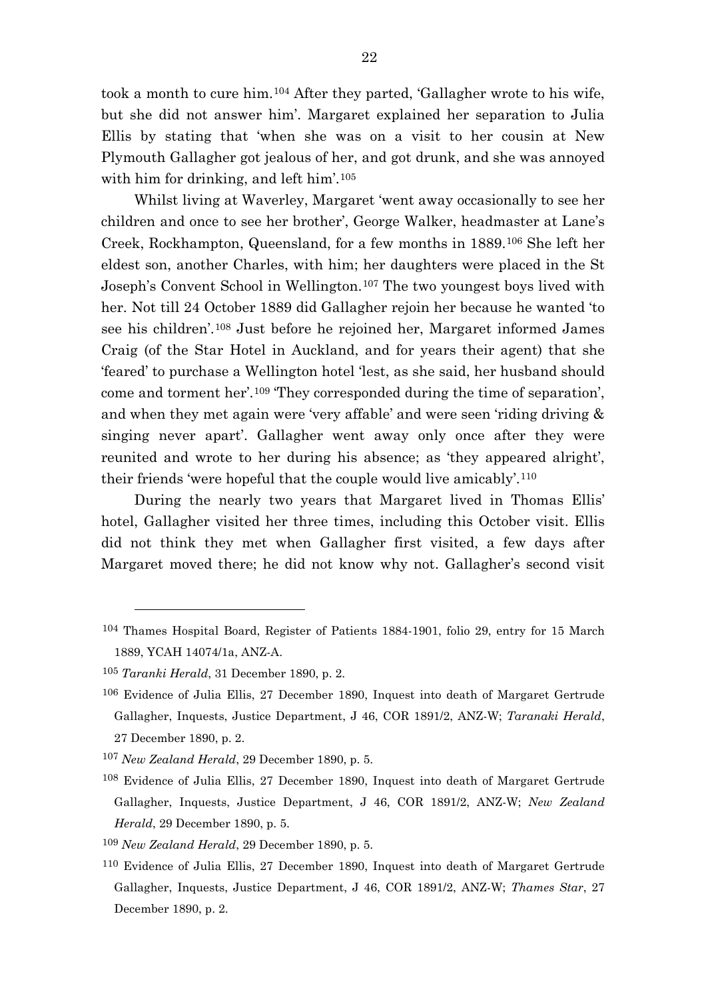took a month to cure him.[104](#page-22-0) After they parted, 'Gallagher wrote to his wife, but she did not answer him'. Margaret explained her separation to Julia Ellis by stating that 'when she was on a visit to her cousin at New Plymouth Gallagher got jealous of her, and got drunk, and she was annoyed with him for drinking, and left him'.[105](#page-22-1)

Whilst living at Waverley, Margaret 'went away occasionally to see her children and once to see her brother', George Walker, headmaster at Lane's Creek, Rockhampton, Queensland, for a few months in 1889.[106](#page-22-2) She left her eldest son, another Charles, with him; her daughters were placed in the St Joseph's Convent School in Wellington.[107](#page-22-3) The two youngest boys lived with her. Not till 24 October 1889 did Gallagher rejoin her because he wanted 'to see his children'.[108](#page-22-4) Just before he rejoined her, Margaret informed James Craig (of the Star Hotel in Auckland, and for years their agent) that she 'feared' to purchase a Wellington hotel 'lest, as she said, her husband should come and torment her'.[109](#page-22-5) 'They corresponded during the time of separation', and when they met again were 'very affable' and were seen 'riding driving & singing never apart'. Gallagher went away only once after they were reunited and wrote to her during his absence; as 'they appeared alright', their friends 'were hopeful that the couple would live amicably'.[110](#page-22-6)

During the nearly two years that Margaret lived in Thomas Ellis' hotel, Gallagher visited her three times, including this October visit. Ellis did not think they met when Gallagher first visited, a few days after Margaret moved there; he did not know why not. Gallagher's second visit

<span id="page-22-0"></span><sup>104</sup> Thames Hospital Board, Register of Patients 1884-1901, folio 29, entry for 15 March 1889, YCAH 14074/1a, ANZ-A.

<span id="page-22-1"></span><sup>105</sup> *Taranki Herald*, 31 December 1890, p. 2.

<span id="page-22-2"></span><sup>106</sup> Evidence of Julia Ellis, 27 December 1890, Inquest into death of Margaret Gertrude Gallagher, Inquests, Justice Department, J 46, COR 1891/2, ANZ-W; *Taranaki Herald*, 27 December 1890, p. 2.

<span id="page-22-3"></span><sup>107</sup> *New Zealand Herald*, 29 December 1890, p. 5.

<span id="page-22-4"></span><sup>108</sup> Evidence of Julia Ellis, 27 December 1890, Inquest into death of Margaret Gertrude Gallagher, Inquests, Justice Department, J 46, COR 1891/2, ANZ-W; *New Zealand Herald*, 29 December 1890, p. 5.

<span id="page-22-5"></span><sup>109</sup> *New Zealand Herald*, 29 December 1890, p. 5.

<span id="page-22-6"></span><sup>110</sup> Evidence of Julia Ellis, 27 December 1890, Inquest into death of Margaret Gertrude Gallagher, Inquests, Justice Department, J 46, COR 1891/2, ANZ-W; *Thames Star*, 27 December 1890, p. 2.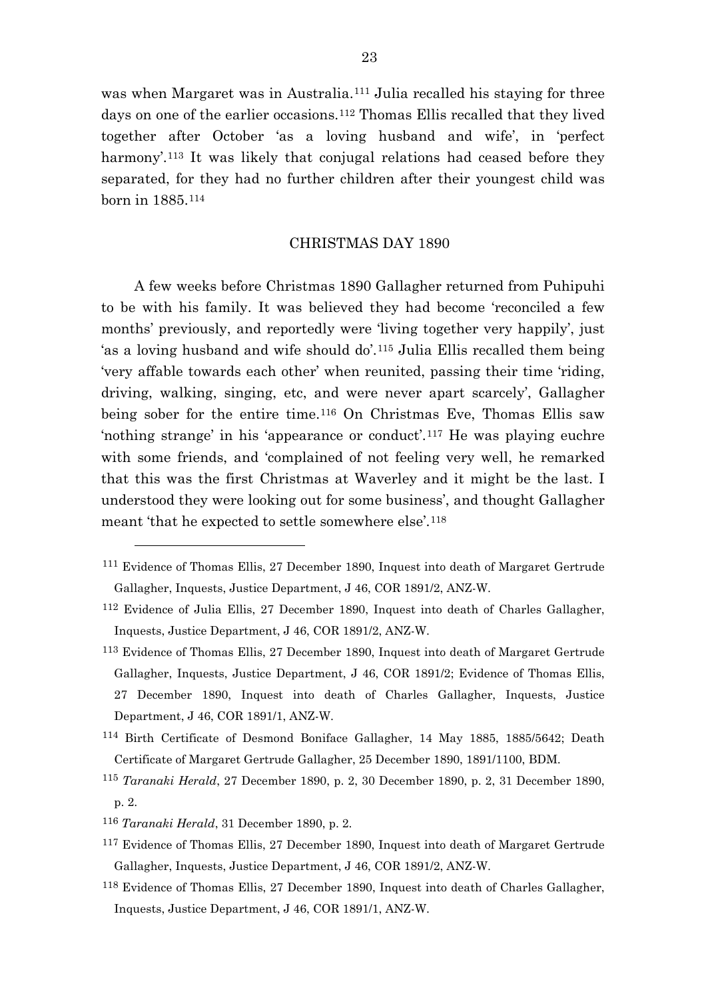was when Margaret was in Australia.<sup>[111](#page-23-0)</sup> Julia recalled his staying for three days on one of the earlier occasions.[112](#page-23-1) Thomas Ellis recalled that they lived together after October 'as a loving husband and wife', in 'perfect harmony'.<sup>[113](#page-23-2)</sup> It was likely that conjugal relations had ceased before they separated, for they had no further children after their youngest child was born in 1885.[114](#page-23-3)

## CHRISTMAS DAY 1890

A few weeks before Christmas 1890 Gallagher returned from Puhipuhi to be with his family. It was believed they had become 'reconciled a few months' previously, and reportedly were 'living together very happily', just 'as a loving husband and wife should do'.[115](#page-23-4) Julia Ellis recalled them being 'very affable towards each other' when reunited, passing their time 'riding, driving, walking, singing, etc, and were never apart scarcely', Gallagher being sober for the entire time.[116](#page-23-5) On Christmas Eve, Thomas Ellis saw 'nothing strange' in his 'appearance or conduct'.[117](#page-23-6) He was playing euchre with some friends, and 'complained of not feeling very well, he remarked that this was the first Christmas at Waverley and it might be the last. I understood they were looking out for some business', and thought Gallagher meant 'that he expected to settle somewhere else'.[118](#page-23-7)

- <span id="page-23-3"></span>114 Birth Certificate of Desmond Boniface Gallagher, 14 May 1885, 1885/5642; Death Certificate of Margaret Gertrude Gallagher, 25 December 1890, 1891/1100, BDM.
- <span id="page-23-4"></span><sup>115</sup> *Taranaki Herald*, 27 December 1890, p. 2, 30 December 1890, p. 2, 31 December 1890, p. 2.
- <span id="page-23-5"></span><sup>116</sup> *Taranaki Herald*, 31 December 1890, p. 2.

- <span id="page-23-6"></span>117 Evidence of Thomas Ellis, 27 December 1890, Inquest into death of Margaret Gertrude Gallagher, Inquests, Justice Department, J 46, COR 1891/2, ANZ-W.
- <span id="page-23-7"></span>118 Evidence of Thomas Ellis, 27 December 1890, Inquest into death of Charles Gallagher, Inquests, Justice Department, J 46, COR 1891/1, ANZ-W.

<span id="page-23-0"></span><sup>111</sup> Evidence of Thomas Ellis, 27 December 1890, Inquest into death of Margaret Gertrude Gallagher, Inquests, Justice Department, J 46, COR 1891/2, ANZ-W.

<span id="page-23-1"></span><sup>112</sup> Evidence of Julia Ellis, 27 December 1890, Inquest into death of Charles Gallagher, Inquests, Justice Department, J 46, COR 1891/2, ANZ-W.

<span id="page-23-2"></span><sup>113</sup> Evidence of Thomas Ellis, 27 December 1890, Inquest into death of Margaret Gertrude Gallagher, Inquests, Justice Department, J 46, COR 1891/2; Evidence of Thomas Ellis, 27 December 1890, Inquest into death of Charles Gallagher, Inquests, Justice Department, J 46, COR 1891/1, ANZ-W.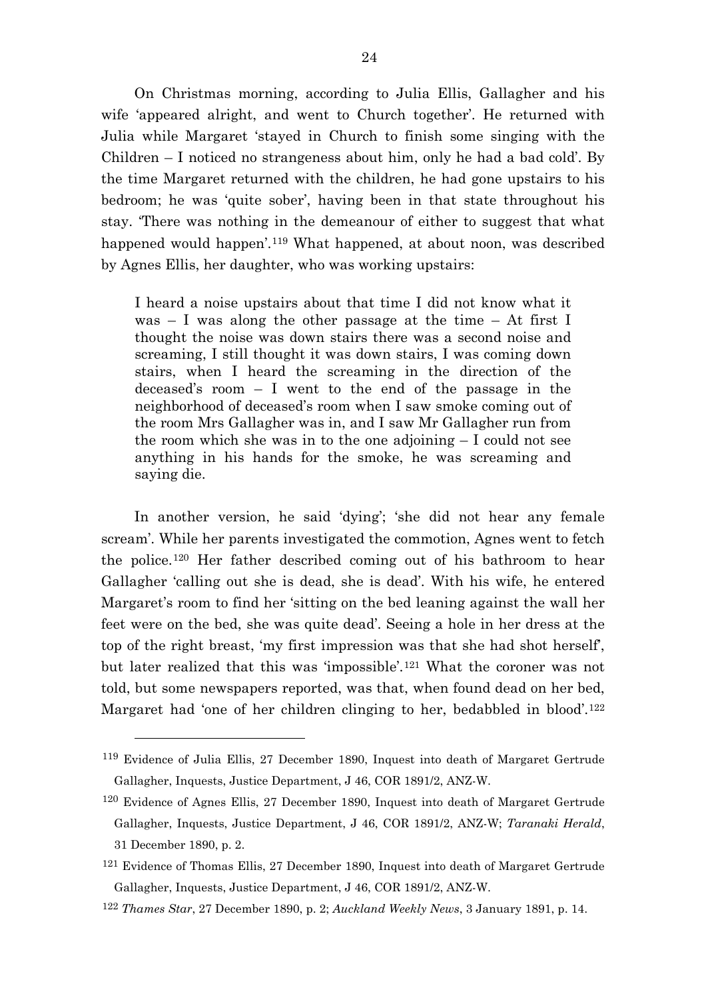On Christmas morning, according to Julia Ellis, Gallagher and his wife 'appeared alright, and went to Church together'. He returned with Julia while Margaret 'stayed in Church to finish some singing with the Children – I noticed no strangeness about him, only he had a bad cold'. By the time Margaret returned with the children, he had gone upstairs to his bedroom; he was 'quite sober', having been in that state throughout his stay. 'There was nothing in the demeanour of either to suggest that what happened would happen'.<sup>[119](#page-24-0)</sup> What happened, at about noon, was described by Agnes Ellis, her daughter, who was working upstairs:

I heard a noise upstairs about that time I did not know what it was  $-$  I was along the other passage at the time  $-$  At first I thought the noise was down stairs there was a second noise and screaming, I still thought it was down stairs, I was coming down stairs, when I heard the screaming in the direction of the deceased's room – I went to the end of the passage in the neighborhood of deceased's room when I saw smoke coming out of the room Mrs Gallagher was in, and I saw Mr Gallagher run from the room which she was in to the one adjoining – I could not see anything in his hands for the smoke, he was screaming and saying die.

In another version, he said 'dying'; 'she did not hear any female scream'. While her parents investigated the commotion, Agnes went to fetch the police.[120](#page-24-1) Her father described coming out of his bathroom to hear Gallagher 'calling out she is dead, she is dead'. With his wife, he entered Margaret's room to find her 'sitting on the bed leaning against the wall her feet were on the bed, she was quite dead'. Seeing a hole in her dress at the top of the right breast, 'my first impression was that she had shot herself', but later realized that this was 'impossible'.[121](#page-24-2) What the coroner was not told, but some newspapers reported, was that, when found dead on her bed, Margaret had 'one of her children clinging to her, bedabbled in blood'.<sup>[122](#page-24-3)</sup>

<span id="page-24-0"></span><sup>119</sup> Evidence of Julia Ellis, 27 December 1890, Inquest into death of Margaret Gertrude Gallagher, Inquests, Justice Department, J 46, COR 1891/2, ANZ-W.

<span id="page-24-1"></span><sup>120</sup> Evidence of Agnes Ellis, 27 December 1890, Inquest into death of Margaret Gertrude Gallagher, Inquests, Justice Department, J 46, COR 1891/2, ANZ-W; *Taranaki Herald*, 31 December 1890, p. 2.

<span id="page-24-2"></span><sup>&</sup>lt;sup>121</sup> Evidence of Thomas Ellis, 27 December 1890, Inquest into death of Margaret Gertrude Gallagher, Inquests, Justice Department, J 46, COR 1891/2, ANZ-W.

<span id="page-24-3"></span><sup>122</sup> *Thames Star*, 27 December 1890, p. 2; *Auckland Weekly News*, 3 January 1891, p. 14.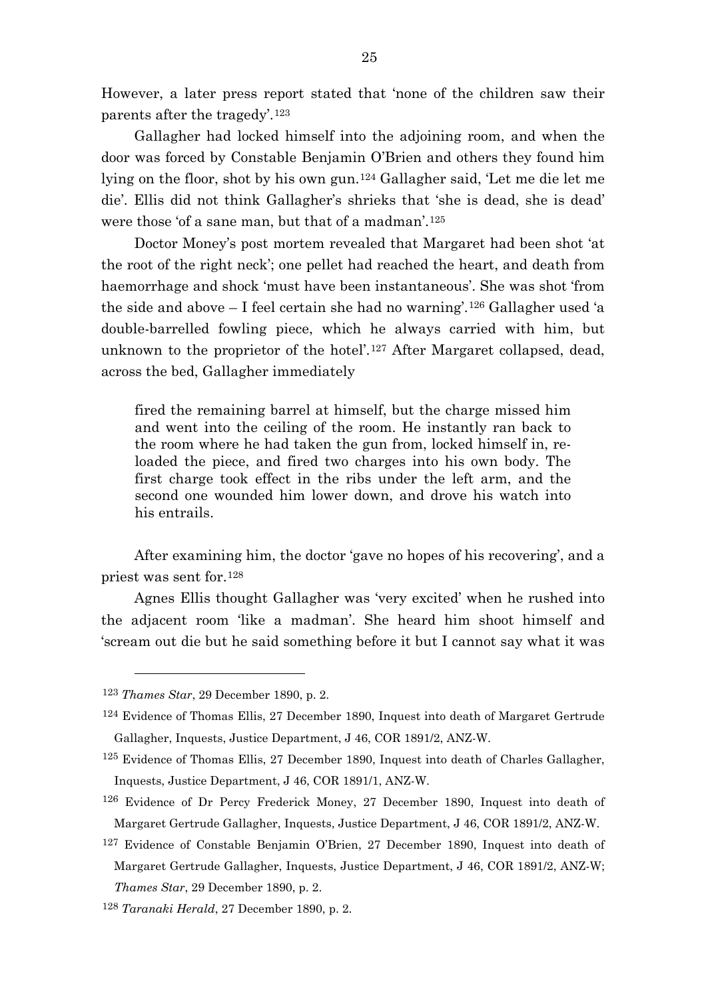However, a later press report stated that 'none of the children saw their parents after the tragedy'.[123](#page-25-0)

Gallagher had locked himself into the adjoining room, and when the door was forced by Constable Benjamin O'Brien and others they found him lying on the floor, shot by his own gun.[124](#page-25-1) Gallagher said, 'Let me die let me die'. Ellis did not think Gallagher's shrieks that 'she is dead, she is dead' were those 'of a sane man, but that of a madman'.[125](#page-25-2)

Doctor Money's post mortem revealed that Margaret had been shot 'at the root of the right neck'; one pellet had reached the heart, and death from haemorrhage and shock 'must have been instantaneous'. She was shot 'from the side and above  $-I$  feel certain she had no warning'.<sup>[126](#page-25-3)</sup> Gallagher used 'a double-barrelled fowling piece, which he always carried with him, but unknown to the proprietor of the hotel'.[127](#page-25-4) After Margaret collapsed, dead, across the bed, Gallagher immediately

fired the remaining barrel at himself, but the charge missed him and went into the ceiling of the room. He instantly ran back to the room where he had taken the gun from, locked himself in, reloaded the piece, and fired two charges into his own body. The first charge took effect in the ribs under the left arm, and the second one wounded him lower down, and drove his watch into his entrails.

After examining him, the doctor 'gave no hopes of his recovering', and a priest was sent for.[128](#page-25-5)

Agnes Ellis thought Gallagher was 'very excited' when he rushed into the adjacent room 'like a madman'. She heard him shoot himself and 'scream out die but he said something before it but I cannot say what it was

<span id="page-25-0"></span><sup>123</sup> *Thames Star*, 29 December 1890, p. 2.

<span id="page-25-1"></span><sup>124</sup> Evidence of Thomas Ellis, 27 December 1890, Inquest into death of Margaret Gertrude Gallagher, Inquests, Justice Department, J 46, COR 1891/2, ANZ-W.

<span id="page-25-2"></span><sup>125</sup> Evidence of Thomas Ellis, 27 December 1890, Inquest into death of Charles Gallagher, Inquests, Justice Department, J 46, COR 1891/1, ANZ-W.

<span id="page-25-3"></span><sup>126</sup> Evidence of Dr Percy Frederick Money, 27 December 1890, Inquest into death of Margaret Gertrude Gallagher, Inquests, Justice Department, J 46, COR 1891/2, ANZ-W.

<span id="page-25-4"></span><sup>127</sup> Evidence of Constable Benjamin O'Brien, 27 December 1890, Inquest into death of Margaret Gertrude Gallagher, Inquests, Justice Department, J 46, COR 1891/2, ANZ-W; *Thames Star*, 29 December 1890, p. 2.

<span id="page-25-5"></span><sup>128</sup> *Taranaki Herald*, 27 December 1890, p. 2.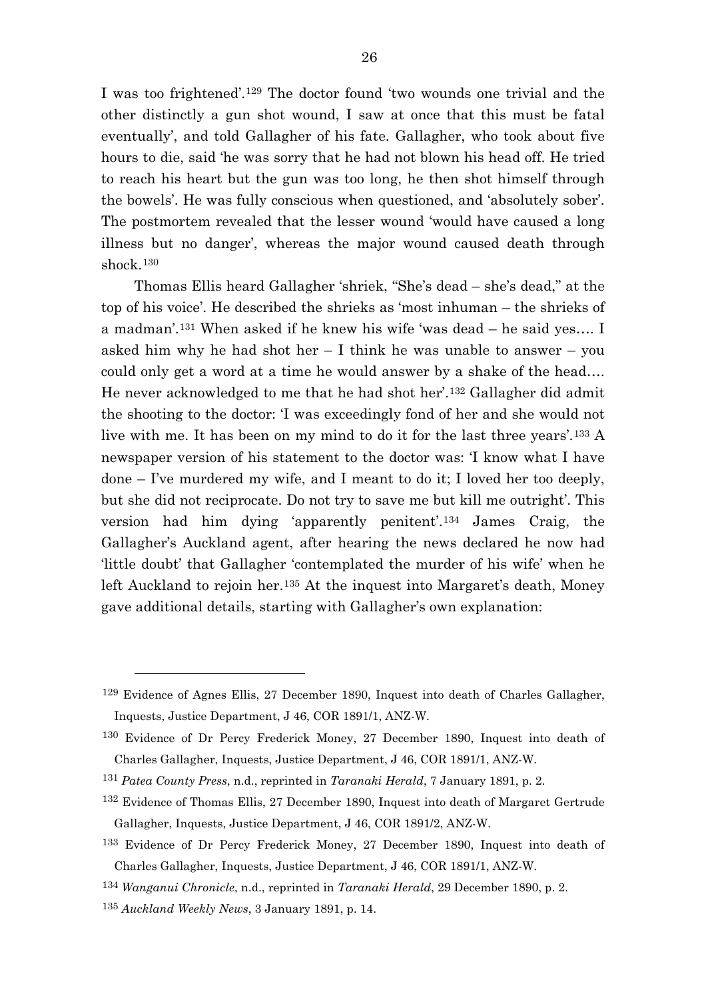I was too frightened'.[129](#page-26-0) The doctor found 'two wounds one trivial and the other distinctly a gun shot wound, I saw at once that this must be fatal eventually', and told Gallagher of his fate. Gallagher, who took about five hours to die, said 'he was sorry that he had not blown his head off. He tried to reach his heart but the gun was too long, he then shot himself through the bowels'. He was fully conscious when questioned, and 'absolutely sober'. The postmortem revealed that the lesser wound 'would have caused a long illness but no danger', whereas the major wound caused death through shock.[130](#page-26-1)

Thomas Ellis heard Gallagher 'shriek, "She's dead – she's dead," at the top of his voice'. He described the shrieks as 'most inhuman – the shrieks of a madman'.[131](#page-26-2) When asked if he knew his wife 'was dead – he said yes…. I asked him why he had shot her  $-1$  think he was unable to answer  $-$  you could only get a word at a time he would answer by a shake of the head…. He never acknowledged to me that he had shot her'.[132](#page-26-3) Gallagher did admit the shooting to the doctor: 'I was exceedingly fond of her and she would not live with me. It has been on my mind to do it for the last three years'.[133](#page-26-4) A newspaper version of his statement to the doctor was: 'I know what I have done – I've murdered my wife, and I meant to do it; I loved her too deeply, but she did not reciprocate. Do not try to save me but kill me outright'. This version had him dying 'apparently penitent'.[134](#page-26-5) James Craig, the Gallagher's Auckland agent, after hearing the news declared he now had 'little doubt' that Gallagher 'contemplated the murder of his wife' when he left Auckland to rejoin her.<sup>[135](#page-26-6)</sup> At the inquest into Margaret's death, Money gave additional details, starting with Gallagher's own explanation:

<span id="page-26-0"></span><sup>129</sup> Evidence of Agnes Ellis, 27 December 1890, Inquest into death of Charles Gallagher, Inquests, Justice Department, J 46, COR 1891/1, ANZ-W.

<span id="page-26-1"></span><sup>130</sup> Evidence of Dr Percy Frederick Money, 27 December 1890, Inquest into death of Charles Gallagher, Inquests, Justice Department, J 46, COR 1891/1, ANZ-W.

<span id="page-26-2"></span><sup>131</sup> *Patea County Press*, n.d., reprinted in *Taranaki Herald*, 7 January 1891, p. 2.

<span id="page-26-3"></span><sup>132</sup> Evidence of Thomas Ellis, 27 December 1890, Inquest into death of Margaret Gertrude Gallagher, Inquests, Justice Department, J 46, COR 1891/2, ANZ-W.

<span id="page-26-4"></span><sup>133</sup> Evidence of Dr Percy Frederick Money, 27 December 1890, Inquest into death of Charles Gallagher, Inquests, Justice Department, J 46, COR 1891/1, ANZ-W.

<span id="page-26-5"></span><sup>134</sup> *Wanganui Chronicle*, n.d., reprinted in *Taranaki Herald*, 29 December 1890, p. 2.

<span id="page-26-6"></span><sup>135</sup> *Auckland Weekly News*, 3 January 1891, p. 14.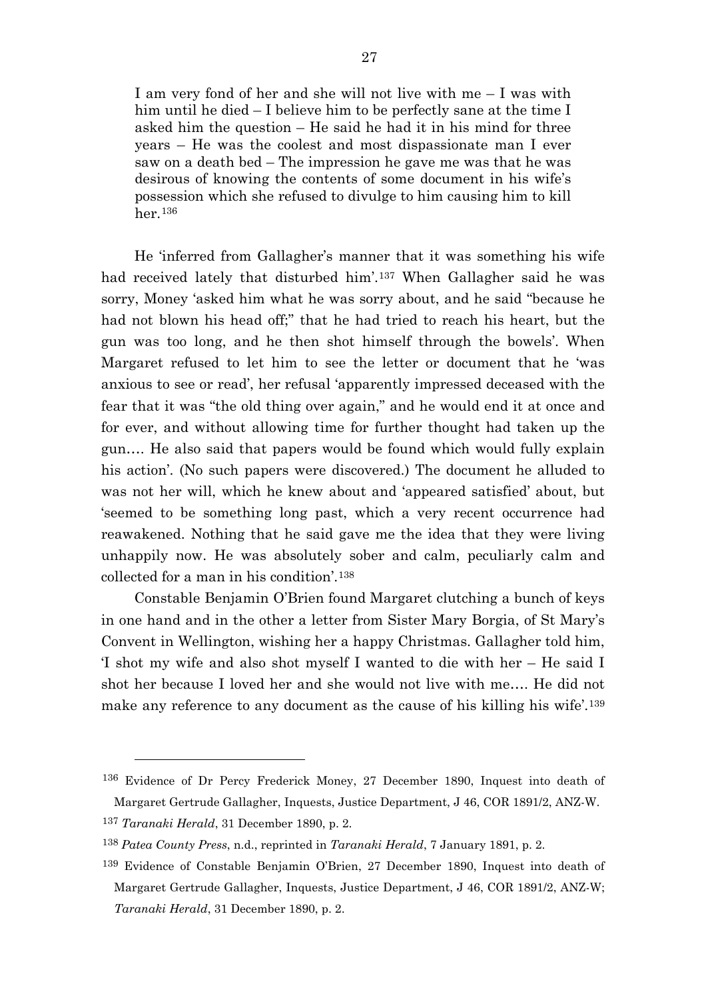I am very fond of her and she will not live with me – I was with him until he died – I believe him to be perfectly sane at the time I asked him the question – He said he had it in his mind for three years – He was the coolest and most dispassionate man I ever saw on a death bed – The impression he gave me was that he was desirous of knowing the contents of some document in his wife's possession which she refused to divulge to him causing him to kill her.[136](#page-27-0)

He 'inferred from Gallagher's manner that it was something his wife had received lately that disturbed him'.[137](#page-27-1) When Gallagher said he was sorry, Money 'asked him what he was sorry about, and he said "because he had not blown his head off;" that he had tried to reach his heart, but the gun was too long, and he then shot himself through the bowels'. When Margaret refused to let him to see the letter or document that he 'was anxious to see or read', her refusal 'apparently impressed deceased with the fear that it was "the old thing over again," and he would end it at once and for ever, and without allowing time for further thought had taken up the gun…. He also said that papers would be found which would fully explain his action'. (No such papers were discovered.) The document he alluded to was not her will, which he knew about and 'appeared satisfied' about, but 'seemed to be something long past, which a very recent occurrence had reawakened. Nothing that he said gave me the idea that they were living unhappily now. He was absolutely sober and calm, peculiarly calm and collected for a man in his condition'.[138](#page-27-2)

Constable Benjamin O'Brien found Margaret clutching a bunch of keys in one hand and in the other a letter from Sister Mary Borgia, of St Mary's Convent in Wellington, wishing her a happy Christmas. Gallagher told him, 'I shot my wife and also shot myself I wanted to die with her – He said I shot her because I loved her and she would not live with me…. He did not make any reference to any document as the cause of his killing his wife'.[139](#page-27-3)

<span id="page-27-0"></span><sup>136</sup> Evidence of Dr Percy Frederick Money, 27 December 1890, Inquest into death of Margaret Gertrude Gallagher, Inquests, Justice Department, J 46, COR 1891/2, ANZ-W.

<span id="page-27-1"></span><sup>137</sup> *Taranaki Herald*, 31 December 1890, p. 2.

<span id="page-27-2"></span><sup>138</sup> *Patea County Press*, n.d., reprinted in *Taranaki Herald*, 7 January 1891, p. 2.

<span id="page-27-3"></span><sup>139</sup> Evidence of Constable Benjamin O'Brien, 27 December 1890, Inquest into death of Margaret Gertrude Gallagher, Inquests, Justice Department, J 46, COR 1891/2, ANZ-W; *Taranaki Herald*, 31 December 1890, p. 2.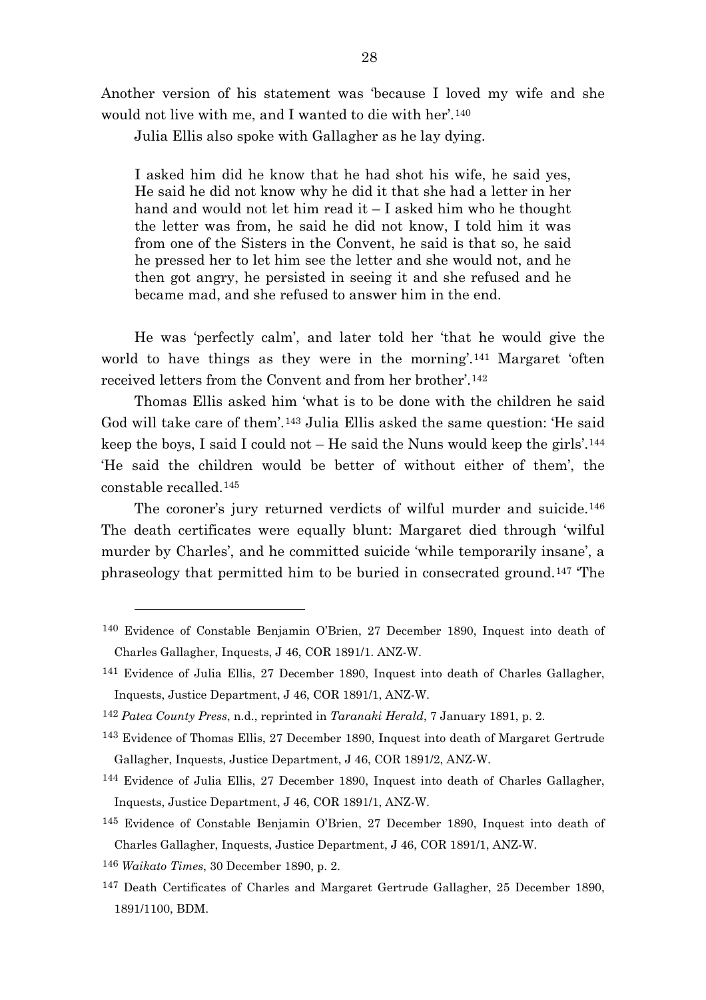Another version of his statement was 'because I loved my wife and she would not live with me, and I wanted to die with her'.[140](#page-28-0)

Julia Ellis also spoke with Gallagher as he lay dying.

I asked him did he know that he had shot his wife, he said yes, He said he did not know why he did it that she had a letter in her hand and would not let him read it – I asked him who he thought the letter was from, he said he did not know, I told him it was from one of the Sisters in the Convent, he said is that so, he said he pressed her to let him see the letter and she would not, and he then got angry, he persisted in seeing it and she refused and he became mad, and she refused to answer him in the end.

He was 'perfectly calm', and later told her 'that he would give the world to have things as they were in the morning'.<sup>[141](#page-28-1)</sup> Margaret 'often received letters from the Convent and from her brother'.[142](#page-28-2)

Thomas Ellis asked him 'what is to be done with the children he said God will take care of them'.[143](#page-28-3) Julia Ellis asked the same question: 'He said keep the boys, I said I could not  $-$  He said the Nuns would keep the girls'.<sup>[144](#page-28-4)</sup> 'He said the children would be better of without either of them', the constable recalled.[145](#page-28-5)

The coroner's jury returned verdicts of wilful murder and suicide.<sup>[146](#page-28-6)</sup> The death certificates were equally blunt: Margaret died through 'wilful murder by Charles', and he committed suicide 'while temporarily insane', a phraseology that permitted him to be buried in consecrated ground.[147](#page-28-7) 'The

<span id="page-28-0"></span><sup>140</sup> Evidence of Constable Benjamin O'Brien, 27 December 1890, Inquest into death of Charles Gallagher, Inquests, J 46, COR 1891/1. ANZ-W.

<span id="page-28-1"></span><sup>141</sup> Evidence of Julia Ellis, 27 December 1890, Inquest into death of Charles Gallagher, Inquests, Justice Department, J 46, COR 1891/1, ANZ-W.

<span id="page-28-2"></span><sup>142</sup> *Patea County Press*, n.d., reprinted in *Taranaki Herald*, 7 January 1891, p. 2.

<span id="page-28-3"></span><sup>143</sup> Evidence of Thomas Ellis, 27 December 1890, Inquest into death of Margaret Gertrude Gallagher, Inquests, Justice Department, J 46, COR 1891/2, ANZ-W.

<span id="page-28-4"></span><sup>144</sup> Evidence of Julia Ellis, 27 December 1890, Inquest into death of Charles Gallagher, Inquests, Justice Department, J 46, COR 1891/1, ANZ-W.

<span id="page-28-5"></span><sup>145</sup> Evidence of Constable Benjamin O'Brien, 27 December 1890, Inquest into death of Charles Gallagher, Inquests, Justice Department, J 46, COR 1891/1, ANZ-W.

<span id="page-28-6"></span><sup>146</sup> *Waikato Times*, 30 December 1890, p. 2.

<span id="page-28-7"></span><sup>147</sup> Death Certificates of Charles and Margaret Gertrude Gallagher, 25 December 1890, 1891/1100, BDM.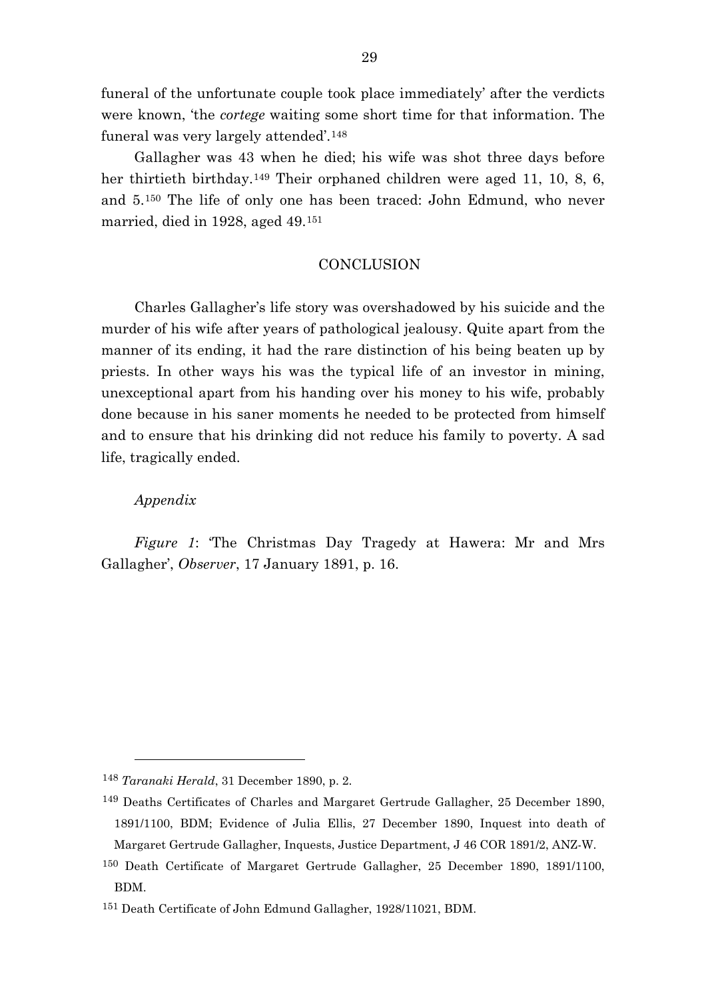funeral of the unfortunate couple took place immediately' after the verdicts were known, 'the *cortege* waiting some short time for that information. The funeral was very largely attended'.[148](#page-29-0)

Gallagher was 43 when he died; his wife was shot three days before her thirtieth birthday.<sup>[149](#page-29-1)</sup> Their orphaned children were aged 11, 10, 8, 6, and 5.[150](#page-29-2) The life of only one has been traced: John Edmund, who never married, died in 1928, aged 49.[151](#page-29-3)

# **CONCLUSION**

Charles Gallagher's life story was overshadowed by his suicide and the murder of his wife after years of pathological jealousy. Quite apart from the manner of its ending, it had the rare distinction of his being beaten up by priests. In other ways his was the typical life of an investor in mining, unexceptional apart from his handing over his money to his wife, probably done because in his saner moments he needed to be protected from himself and to ensure that his drinking did not reduce his family to poverty. A sad life, tragically ended.

#### *Appendix*

l

*Figure 1*: 'The Christmas Day Tragedy at Hawera: Mr and Mrs Gallagher', *Observer*, 17 January 1891, p. 16.

<span id="page-29-0"></span><sup>148</sup> *Taranaki Herald*, 31 December 1890, p. 2.

<span id="page-29-1"></span><sup>149</sup> Deaths Certificates of Charles and Margaret Gertrude Gallagher, 25 December 1890, 1891/1100, BDM; Evidence of Julia Ellis, 27 December 1890, Inquest into death of Margaret Gertrude Gallagher, Inquests, Justice Department, J 46 COR 1891/2, ANZ-W.

<span id="page-29-2"></span><sup>150</sup> Death Certificate of Margaret Gertrude Gallagher, 25 December 1890, 1891/1100, BDM.

<span id="page-29-3"></span><sup>151</sup> Death Certificate of John Edmund Gallagher, 1928/11021, BDM.